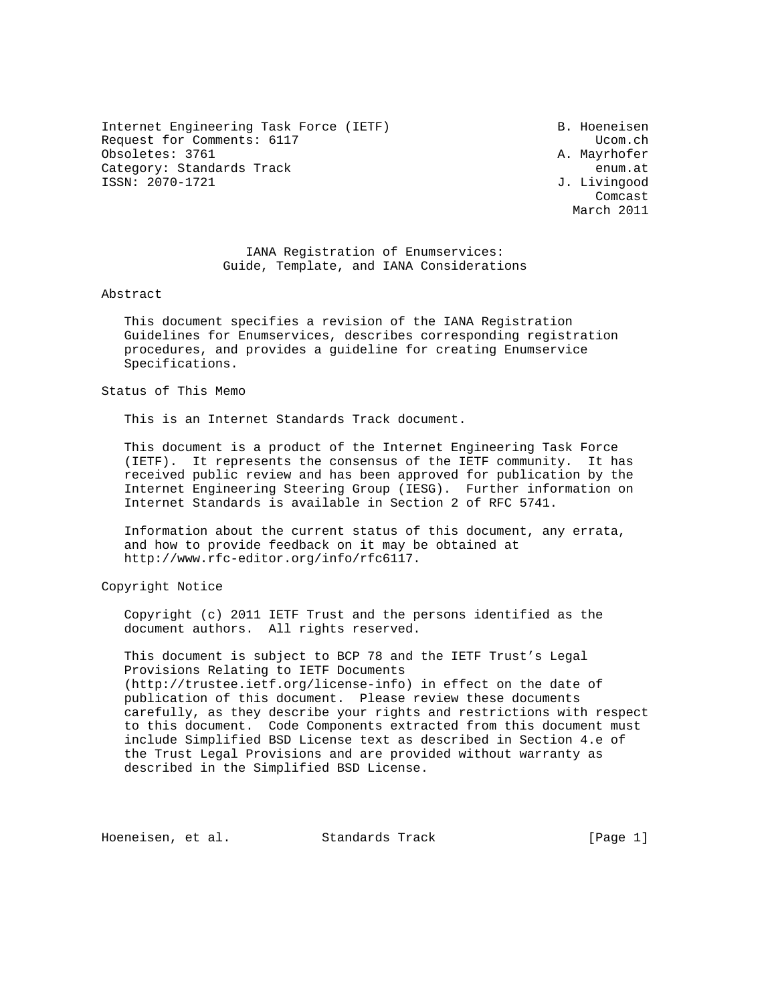Internet Engineering Task Force (IETF) B. Hoeneisen Request for Comments: 6117 and the comments of the community of the community of the community of the community of the community of the community of the community of the community of the community of the community of the c Obsoletes: 3761 A. Mayrhofer Category: Standards Track enum.at ISSN: 2070-1721 J. Livingood

**Comcast** Comcast Company of the Company of the Company of the Company of the Company of the Company of the Company of the Company of the Company of the Company of the Company of the Company of the Company of the Company o March 2011

> IANA Registration of Enumservices: Guide, Template, and IANA Considerations

Abstract

 This document specifies a revision of the IANA Registration Guidelines for Enumservices, describes corresponding registration procedures, and provides a guideline for creating Enumservice Specifications.

Status of This Memo

This is an Internet Standards Track document.

 This document is a product of the Internet Engineering Task Force (IETF). It represents the consensus of the IETF community. It has received public review and has been approved for publication by the Internet Engineering Steering Group (IESG). Further information on Internet Standards is available in Section 2 of RFC 5741.

 Information about the current status of this document, any errata, and how to provide feedback on it may be obtained at http://www.rfc-editor.org/info/rfc6117.

Copyright Notice

 Copyright (c) 2011 IETF Trust and the persons identified as the document authors. All rights reserved.

 This document is subject to BCP 78 and the IETF Trust's Legal Provisions Relating to IETF Documents (http://trustee.ietf.org/license-info) in effect on the date of publication of this document. Please review these documents carefully, as they describe your rights and restrictions with respect to this document. Code Components extracted from this document must include Simplified BSD License text as described in Section 4.e of the Trust Legal Provisions and are provided without warranty as described in the Simplified BSD License.

Hoeneisen, et al. Standards Track [Page 1]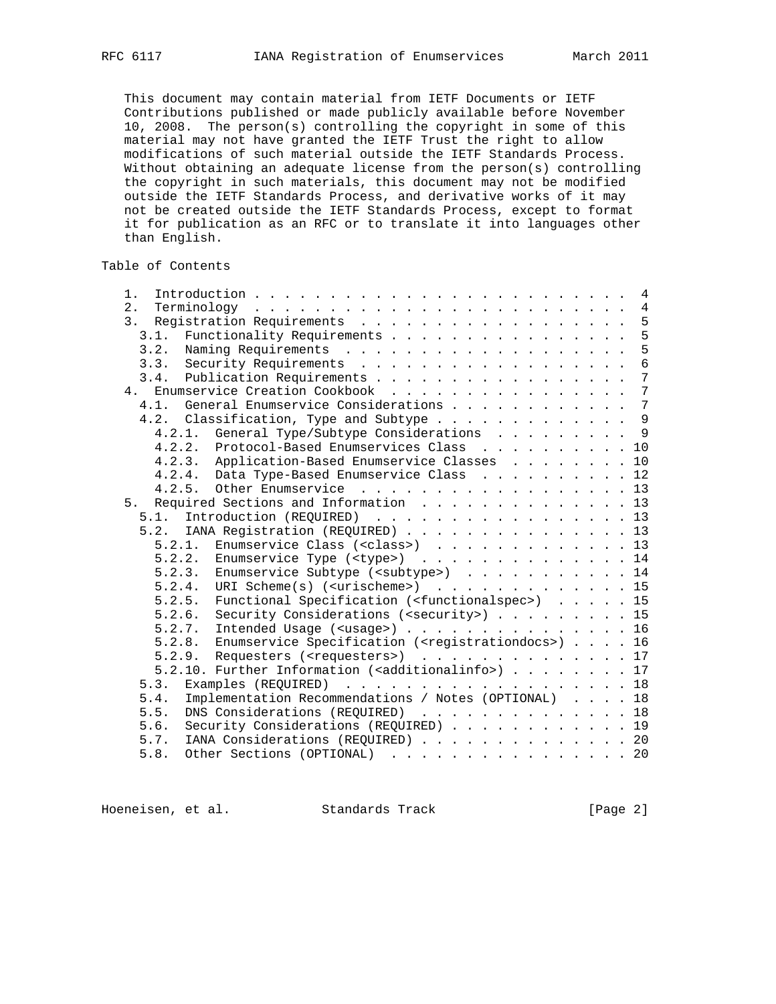This document may contain material from IETF Documents or IETF Contributions published or made publicly available before November 10, 2008. The person(s) controlling the copyright in some of this material may not have granted the IETF Trust the right to allow modifications of such material outside the IETF Standards Process. Without obtaining an adequate license from the person(s) controlling the copyright in such materials, this document may not be modified outside the IETF Standards Process, and derivative works of it may not be created outside the IETF Standards Process, except to format it for publication as an RFC or to translate it into languages other than English.

## Table of Contents

| 1.                                                                           |  |  | 4               |
|------------------------------------------------------------------------------|--|--|-----------------|
| 2.<br>Terminology                                                            |  |  |                 |
| Registration Requirements 5<br>3.                                            |  |  |                 |
| Functionality Requirements<br>3.1.                                           |  |  | 5               |
|                                                                              |  |  | 5               |
|                                                                              |  |  | $\overline{6}$  |
| 3.4. Publication Requirements                                                |  |  | $7\phantom{.0}$ |
| Enumservice Creation Cookbook<br>4.                                          |  |  | $7\overline{ }$ |
| General Enumservice Considerations 7<br>4.1.                                 |  |  |                 |
| 4.2. Classification, Type and Subtype 9                                      |  |  |                 |
| 4.2.1. General Type/Subtype Considerations 9                                 |  |  |                 |
| 4.2.2. Protocol-Based Enumservices Class 10                                  |  |  |                 |
| 4.2.3. Application-Based Enumservice Classes 10                              |  |  |                 |
| 4.2.4. Data Type-Based Enumservice Class 12                                  |  |  |                 |
| 4.2.5. Other Enumservice 13                                                  |  |  |                 |
| Required Sections and Information 13<br>5.                                   |  |  |                 |
| 5.1. Introduction (REQUIRED) 13                                              |  |  |                 |
| 5.2. IANA Registration (REQUIRED) 13                                         |  |  |                 |
| 5.2.1. Enumservice Class ( <class>) 13</class>                               |  |  |                 |
| Enumservice Type $(\langle \text{type}\rangle)$ 14<br>5.2.2.                 |  |  |                 |
| 5.2.3. Enumservice Subtype ( <subtype>) 14</subtype>                         |  |  |                 |
| URI Scheme $(s)$ ( <urischeme>) 15<br/>5.2.4.</urischeme>                    |  |  |                 |
| Functional Specification ( <functionalspec>) 15<br/>5.2.5.</functionalspec>  |  |  |                 |
| Security Considerations ( <security>) 15<br/>5.2.6.</security>               |  |  |                 |
| Intended Usage ( <usage>) 16<br/>5.2.7.</usage>                              |  |  |                 |
| 5.2.8. Enumservice Specification ( <registrationdocs>) 16</registrationdocs> |  |  |                 |
| 5.2.9. Requesters ( <requesters>) 17</requesters>                            |  |  |                 |
| 5.2.10. Further Information ( <additionalinfo>) 17</additionalinfo>          |  |  |                 |
| 5.3.<br>Examples (REQUIRED) 18                                               |  |  |                 |
| Implementation Recommendations / Notes (OPTIONAL) 18<br>5.4.                 |  |  |                 |
| DNS Considerations (REQUIRED) 18<br>5.5.                                     |  |  |                 |
| Security Considerations (REQUIRED) 19<br>5.6.                                |  |  |                 |
| IANA Considerations (REQUIRED) 20<br>5.7.                                    |  |  |                 |
| Other Sections (OPTIONAL) 20<br>5.8.                                         |  |  |                 |
|                                                                              |  |  |                 |

Hoeneisen, et al. Standards Track [Page 2]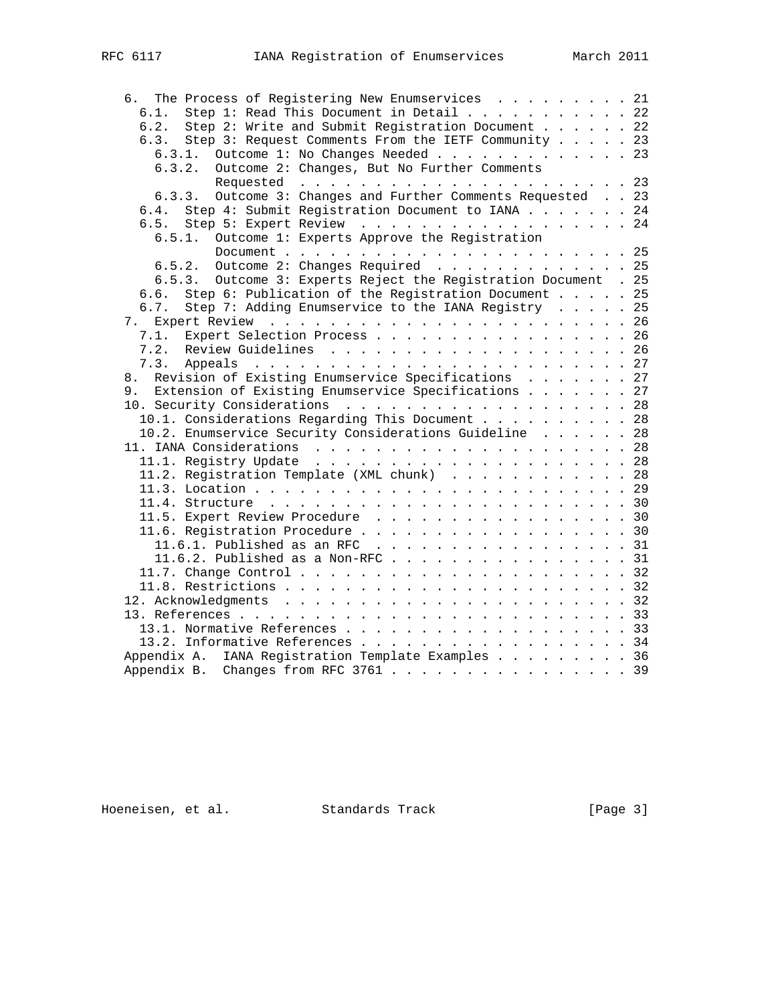| The Process of Registering New Enumservices 21<br>6.            |  |  |
|-----------------------------------------------------------------|--|--|
| Step 1: Read This Document in Detail 22<br>6.1.                 |  |  |
| Step 2: Write and Submit Registration Document 22<br>6.2.       |  |  |
| Step 3: Request Comments From the IETF Community 23<br>6.3.     |  |  |
| 6.3.1. Outcome 1: No Changes Needed 23                          |  |  |
| 6.3.2. Outcome 2: Changes, But No Further Comments              |  |  |
|                                                                 |  |  |
| 6.3.3. Outcome 3: Changes and Further Comments Requested 23     |  |  |
| 6.4. Step 4: Submit Registration Document to IANA 24            |  |  |
| Step 5: Expert Review 24<br>6.5.                                |  |  |
| Outcome 1: Experts Approve the Registration<br>6.5.1.           |  |  |
|                                                                 |  |  |
|                                                                 |  |  |
|                                                                 |  |  |
| 6.5.3. Outcome 3: Experts Reject the Registration Document . 25 |  |  |
| Step 6: Publication of the Registration Document 25<br>6.6.     |  |  |
| Step 7: Adding Enumservice to the IANA Registry 25<br>6.7.      |  |  |
|                                                                 |  |  |
| Expert Selection Process 26<br>7.1.                             |  |  |
| 7.2.                                                            |  |  |
|                                                                 |  |  |
| Revision of Existing Enumservice Specifications 27<br>8.        |  |  |
| 9. Extension of Existing Enumservice Specifications 27          |  |  |
| 10. Security Considerations 28                                  |  |  |
| 10.1. Considerations Regarding This Document 28                 |  |  |
| 10.2. Enumservice Security Considerations Guideline 28          |  |  |
|                                                                 |  |  |
|                                                                 |  |  |
| 11.2. Registration Template (XML chunk) 28                      |  |  |
|                                                                 |  |  |
|                                                                 |  |  |
|                                                                 |  |  |
| 11.5. Expert Review Procedure 30                                |  |  |
| 11.6. Registration Procedure 30                                 |  |  |
| 11.6.1. Published as an RFC $\ldots$ 31                         |  |  |
| 11.6.2. Published as a Non-RFC 31                               |  |  |
|                                                                 |  |  |
|                                                                 |  |  |
|                                                                 |  |  |
|                                                                 |  |  |
|                                                                 |  |  |
| 13.2. Informative References 34                                 |  |  |
| Appendix A. IANA Registration Template Examples 36              |  |  |
| Appendix B. Changes from RFC 3761 39                            |  |  |
|                                                                 |  |  |

Hoeneisen, et al. Standards Track [Page 3]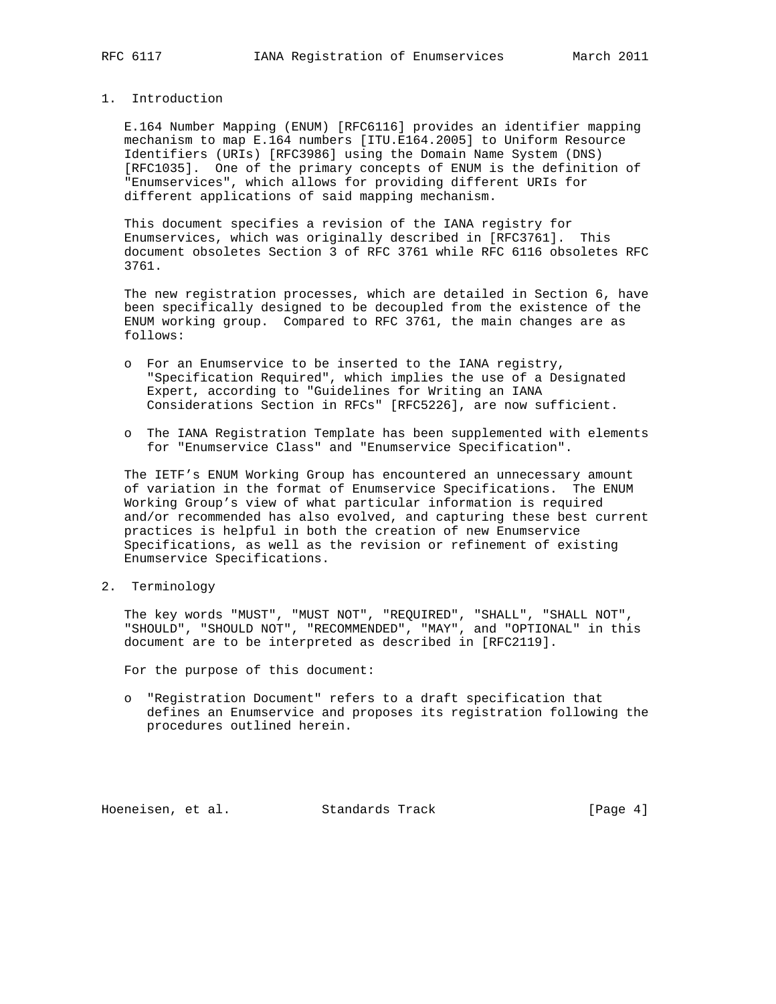## 1. Introduction

 E.164 Number Mapping (ENUM) [RFC6116] provides an identifier mapping mechanism to map E.164 numbers [ITU.E164.2005] to Uniform Resource Identifiers (URIs) [RFC3986] using the Domain Name System (DNS) [RFC1035]. One of the primary concepts of ENUM is the definition of "Enumservices", which allows for providing different URIs for different applications of said mapping mechanism.

 This document specifies a revision of the IANA registry for Enumservices, which was originally described in [RFC3761]. This document obsoletes Section 3 of RFC 3761 while RFC 6116 obsoletes RFC 3761.

 The new registration processes, which are detailed in Section 6, have been specifically designed to be decoupled from the existence of the ENUM working group. Compared to RFC 3761, the main changes are as follows:

- o For an Enumservice to be inserted to the IANA registry, "Specification Required", which implies the use of a Designated Expert, according to "Guidelines for Writing an IANA Considerations Section in RFCs" [RFC5226], are now sufficient.
- o The IANA Registration Template has been supplemented with elements for "Enumservice Class" and "Enumservice Specification".

 The IETF's ENUM Working Group has encountered an unnecessary amount of variation in the format of Enumservice Specifications. The ENUM Working Group's view of what particular information is required and/or recommended has also evolved, and capturing these best current practices is helpful in both the creation of new Enumservice Specifications, as well as the revision or refinement of existing Enumservice Specifications.

2. Terminology

 The key words "MUST", "MUST NOT", "REQUIRED", "SHALL", "SHALL NOT", "SHOULD", "SHOULD NOT", "RECOMMENDED", "MAY", and "OPTIONAL" in this document are to be interpreted as described in [RFC2119].

For the purpose of this document:

 o "Registration Document" refers to a draft specification that defines an Enumservice and proposes its registration following the procedures outlined herein.

Hoeneisen, et al. Standards Track [Page 4]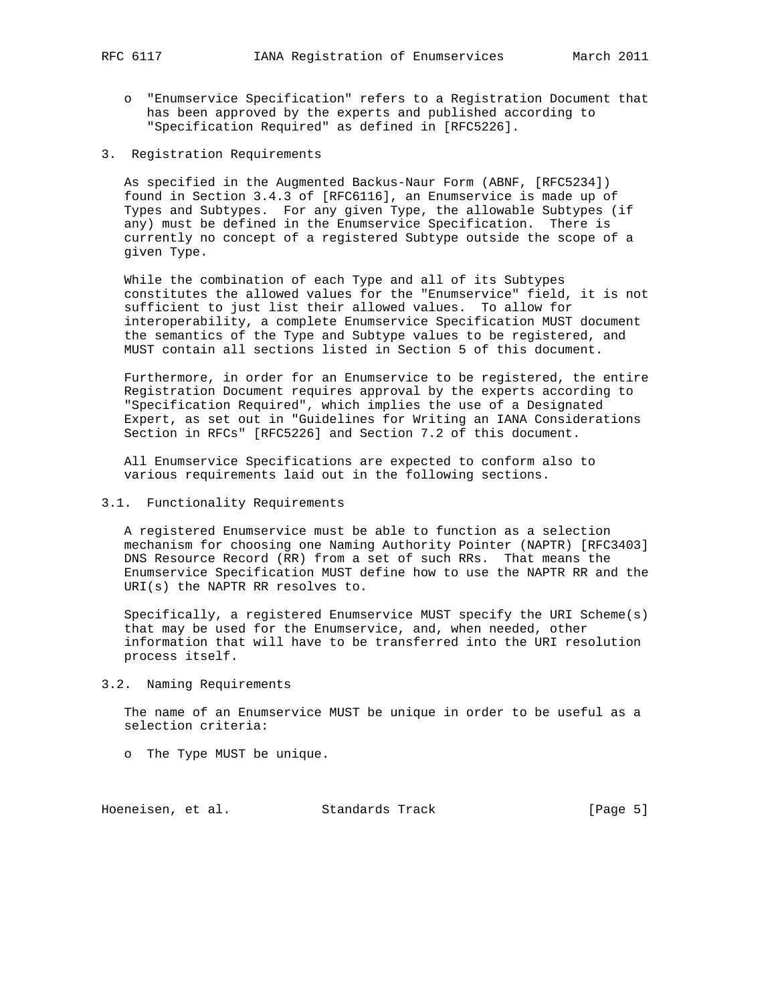- o "Enumservice Specification" refers to a Registration Document that has been approved by the experts and published according to "Specification Required" as defined in [RFC5226].
- 3. Registration Requirements

 As specified in the Augmented Backus-Naur Form (ABNF, [RFC5234]) found in Section 3.4.3 of [RFC6116], an Enumservice is made up of Types and Subtypes. For any given Type, the allowable Subtypes (if any) must be defined in the Enumservice Specification. There is currently no concept of a registered Subtype outside the scope of a given Type.

 While the combination of each Type and all of its Subtypes constitutes the allowed values for the "Enumservice" field, it is not sufficient to just list their allowed values. To allow for interoperability, a complete Enumservice Specification MUST document the semantics of the Type and Subtype values to be registered, and MUST contain all sections listed in Section 5 of this document.

 Furthermore, in order for an Enumservice to be registered, the entire Registration Document requires approval by the experts according to "Specification Required", which implies the use of a Designated Expert, as set out in "Guidelines for Writing an IANA Considerations Section in RFCs" [RFC5226] and Section 7.2 of this document.

 All Enumservice Specifications are expected to conform also to various requirements laid out in the following sections.

3.1. Functionality Requirements

 A registered Enumservice must be able to function as a selection mechanism for choosing one Naming Authority Pointer (NAPTR) [RFC3403] DNS Resource Record (RR) from a set of such RRs. That means the Enumservice Specification MUST define how to use the NAPTR RR and the URI(s) the NAPTR RR resolves to.

 Specifically, a registered Enumservice MUST specify the URI Scheme(s) that may be used for the Enumservice, and, when needed, other information that will have to be transferred into the URI resolution process itself.

3.2. Naming Requirements

 The name of an Enumservice MUST be unique in order to be useful as a selection criteria:

o The Type MUST be unique.

Hoeneisen, et al. Standards Track [Page 5]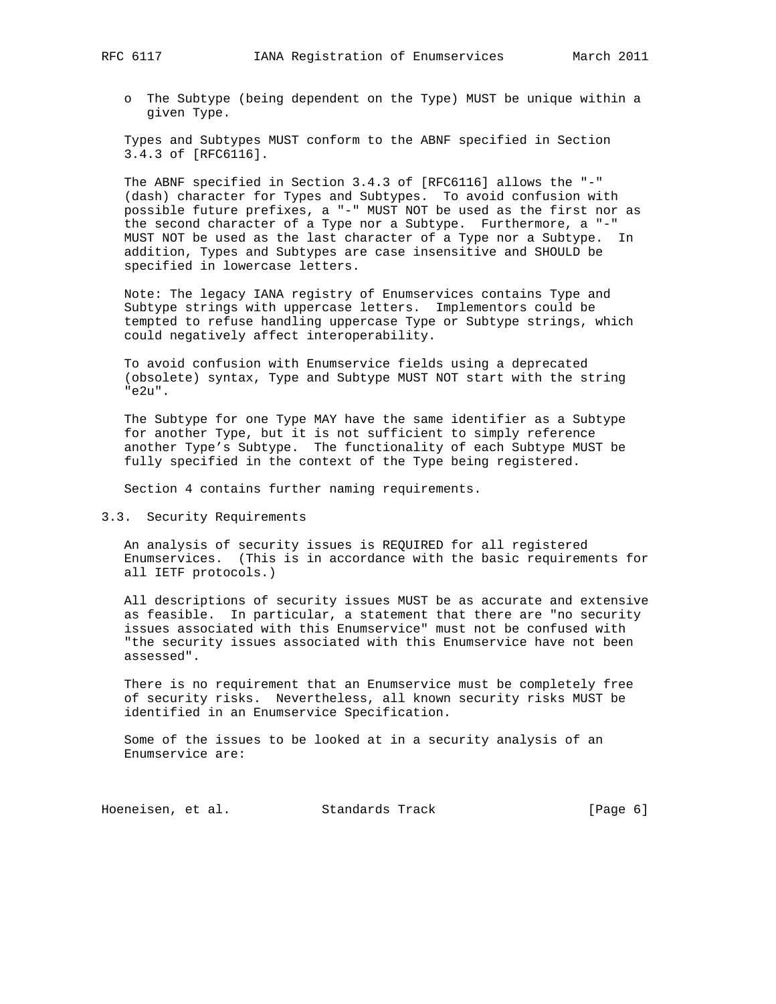- - o The Subtype (being dependent on the Type) MUST be unique within a given Type.

 Types and Subtypes MUST conform to the ABNF specified in Section 3.4.3 of [RFC6116].

 The ABNF specified in Section 3.4.3 of [RFC6116] allows the "-" (dash) character for Types and Subtypes. To avoid confusion with possible future prefixes, a "-" MUST NOT be used as the first nor as the second character of a Type nor a Subtype. Furthermore, a "-" MUST NOT be used as the last character of a Type nor a Subtype. In addition, Types and Subtypes are case insensitive and SHOULD be specified in lowercase letters.

 Note: The legacy IANA registry of Enumservices contains Type and Subtype strings with uppercase letters. Implementors could be tempted to refuse handling uppercase Type or Subtype strings, which could negatively affect interoperability.

 To avoid confusion with Enumservice fields using a deprecated (obsolete) syntax, Type and Subtype MUST NOT start with the string "e2u".

 The Subtype for one Type MAY have the same identifier as a Subtype for another Type, but it is not sufficient to simply reference another Type's Subtype. The functionality of each Subtype MUST be fully specified in the context of the Type being registered.

Section 4 contains further naming requirements.

3.3. Security Requirements

 An analysis of security issues is REQUIRED for all registered Enumservices. (This is in accordance with the basic requirements for all IETF protocols.)

 All descriptions of security issues MUST be as accurate and extensive as feasible. In particular, a statement that there are "no security issues associated with this Enumservice" must not be confused with "the security issues associated with this Enumservice have not been assessed".

 There is no requirement that an Enumservice must be completely free of security risks. Nevertheless, all known security risks MUST be identified in an Enumservice Specification.

 Some of the issues to be looked at in a security analysis of an Enumservice are:

Hoeneisen, et al. Standards Track [Page 6]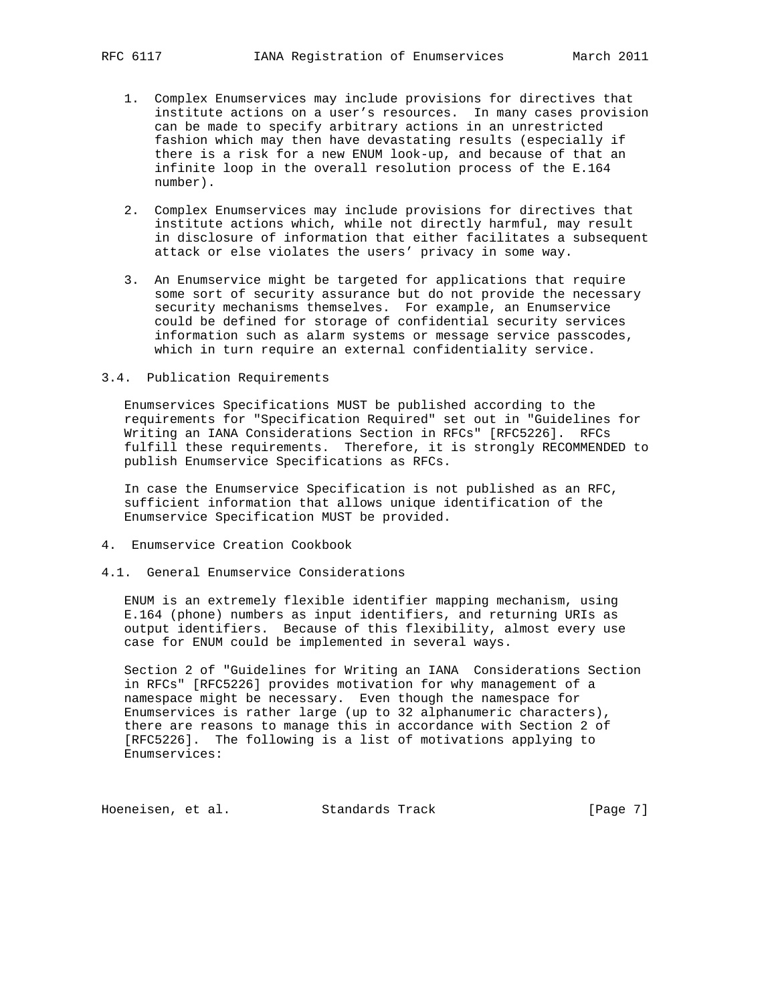- 1. Complex Enumservices may include provisions for directives that institute actions on a user's resources. In many cases provision can be made to specify arbitrary actions in an unrestricted fashion which may then have devastating results (especially if there is a risk for a new ENUM look-up, and because of that an infinite loop in the overall resolution process of the E.164 number).
- 2. Complex Enumservices may include provisions for directives that institute actions which, while not directly harmful, may result in disclosure of information that either facilitates a subsequent attack or else violates the users' privacy in some way.
- 3. An Enumservice might be targeted for applications that require some sort of security assurance but do not provide the necessary security mechanisms themselves. For example, an Enumservice could be defined for storage of confidential security services information such as alarm systems or message service passcodes, which in turn require an external confidentiality service.
- 3.4. Publication Requirements

 Enumservices Specifications MUST be published according to the requirements for "Specification Required" set out in "Guidelines for Writing an IANA Considerations Section in RFCs" [RFC5226]. RFCs fulfill these requirements. Therefore, it is strongly RECOMMENDED to publish Enumservice Specifications as RFCs.

 In case the Enumservice Specification is not published as an RFC, sufficient information that allows unique identification of the Enumservice Specification MUST be provided.

- 4. Enumservice Creation Cookbook
- 4.1. General Enumservice Considerations

 ENUM is an extremely flexible identifier mapping mechanism, using E.164 (phone) numbers as input identifiers, and returning URIs as output identifiers. Because of this flexibility, almost every use case for ENUM could be implemented in several ways.

 Section 2 of "Guidelines for Writing an IANA Considerations Section in RFCs" [RFC5226] provides motivation for why management of a namespace might be necessary. Even though the namespace for Enumservices is rather large (up to 32 alphanumeric characters), there are reasons to manage this in accordance with Section 2 of [RFC5226]. The following is a list of motivations applying to Enumservices:

Hoeneisen, et al. Standards Track [Page 7]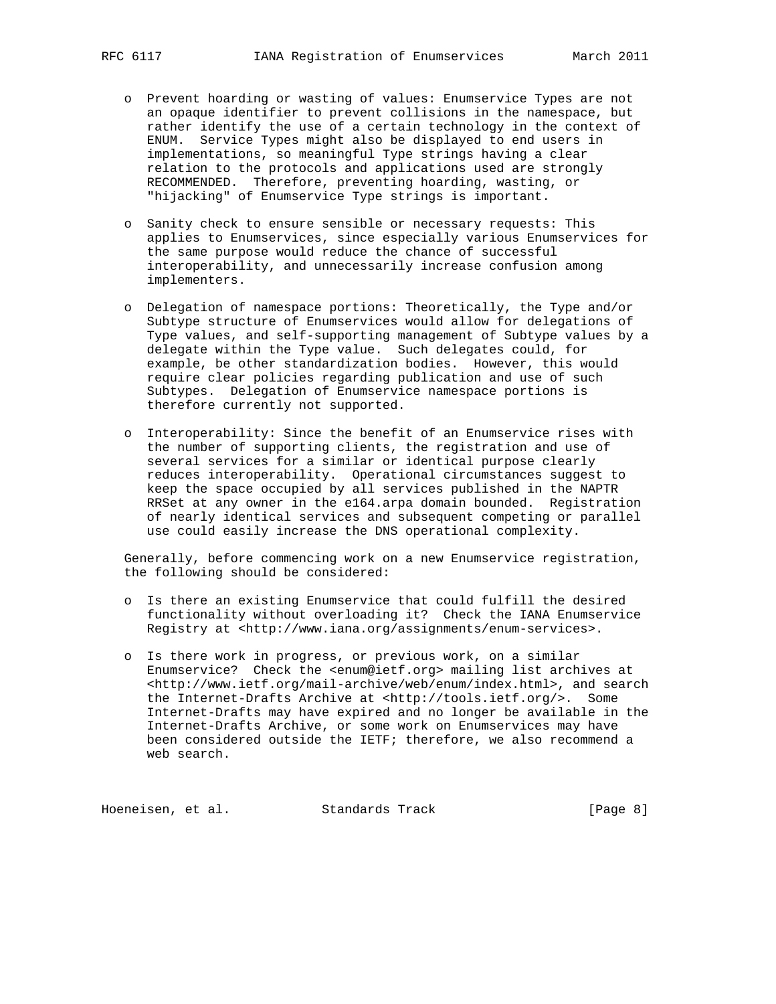- o Prevent hoarding or wasting of values: Enumservice Types are not an opaque identifier to prevent collisions in the namespace, but rather identify the use of a certain technology in the context of ENUM. Service Types might also be displayed to end users in implementations, so meaningful Type strings having a clear relation to the protocols and applications used are strongly RECOMMENDED. Therefore, preventing hoarding, wasting, or "hijacking" of Enumservice Type strings is important.
- o Sanity check to ensure sensible or necessary requests: This applies to Enumservices, since especially various Enumservices for the same purpose would reduce the chance of successful interoperability, and unnecessarily increase confusion among implementers.
- o Delegation of namespace portions: Theoretically, the Type and/or Subtype structure of Enumservices would allow for delegations of Type values, and self-supporting management of Subtype values by a delegate within the Type value. Such delegates could, for example, be other standardization bodies. However, this would require clear policies regarding publication and use of such Subtypes. Delegation of Enumservice namespace portions is therefore currently not supported.
- o Interoperability: Since the benefit of an Enumservice rises with the number of supporting clients, the registration and use of several services for a similar or identical purpose clearly reduces interoperability. Operational circumstances suggest to keep the space occupied by all services published in the NAPTR RRSet at any owner in the e164.arpa domain bounded. Registration of nearly identical services and subsequent competing or parallel use could easily increase the DNS operational complexity.

 Generally, before commencing work on a new Enumservice registration, the following should be considered:

- o Is there an existing Enumservice that could fulfill the desired functionality without overloading it? Check the IANA Enumservice Registry at <http://www.iana.org/assignments/enum-services>.
- o Is there work in progress, or previous work, on a similar Enumservice? Check the <enum@ietf.org> mailing list archives at <http://www.ietf.org/mail-archive/web/enum/index.html>, and search the Internet-Drafts Archive at <http://tools.ietf.org/>. Some Internet-Drafts may have expired and no longer be available in the Internet-Drafts Archive, or some work on Enumservices may have been considered outside the IETF; therefore, we also recommend a web search.

Hoeneisen, et al. Standards Track [Page 8]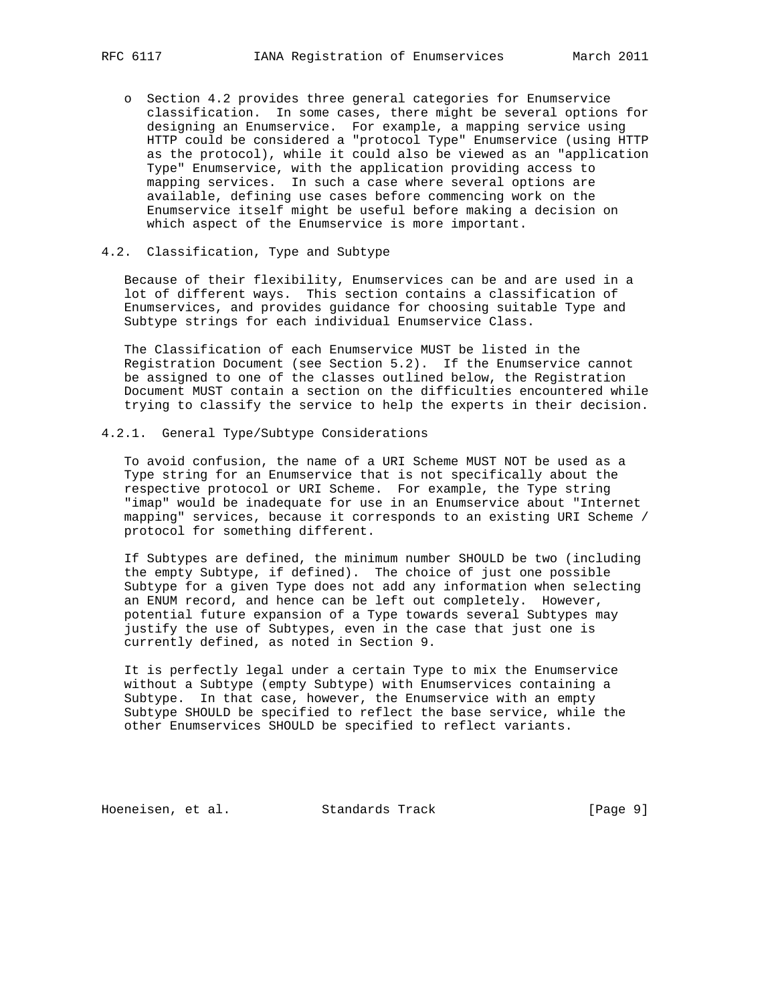- o Section 4.2 provides three general categories for Enumservice classification. In some cases, there might be several options for designing an Enumservice. For example, a mapping service using HTTP could be considered a "protocol Type" Enumservice (using HTTP as the protocol), while it could also be viewed as an "application Type" Enumservice, with the application providing access to mapping services. In such a case where several options are available, defining use cases before commencing work on the Enumservice itself might be useful before making a decision on which aspect of the Enumservice is more important.
- 4.2. Classification, Type and Subtype

 Because of their flexibility, Enumservices can be and are used in a lot of different ways. This section contains a classification of Enumservices, and provides guidance for choosing suitable Type and Subtype strings for each individual Enumservice Class.

 The Classification of each Enumservice MUST be listed in the Registration Document (see Section 5.2). If the Enumservice cannot be assigned to one of the classes outlined below, the Registration Document MUST contain a section on the difficulties encountered while trying to classify the service to help the experts in their decision.

4.2.1. General Type/Subtype Considerations

 To avoid confusion, the name of a URI Scheme MUST NOT be used as a Type string for an Enumservice that is not specifically about the respective protocol or URI Scheme. For example, the Type string "imap" would be inadequate for use in an Enumservice about "Internet mapping" services, because it corresponds to an existing URI Scheme / protocol for something different.

 If Subtypes are defined, the minimum number SHOULD be two (including the empty Subtype, if defined). The choice of just one possible Subtype for a given Type does not add any information when selecting an ENUM record, and hence can be left out completely. However, potential future expansion of a Type towards several Subtypes may justify the use of Subtypes, even in the case that just one is currently defined, as noted in Section 9.

 It is perfectly legal under a certain Type to mix the Enumservice without a Subtype (empty Subtype) with Enumservices containing a Subtype. In that case, however, the Enumservice with an empty Subtype SHOULD be specified to reflect the base service, while the other Enumservices SHOULD be specified to reflect variants.

Hoeneisen, et al. Standards Track [Page 9]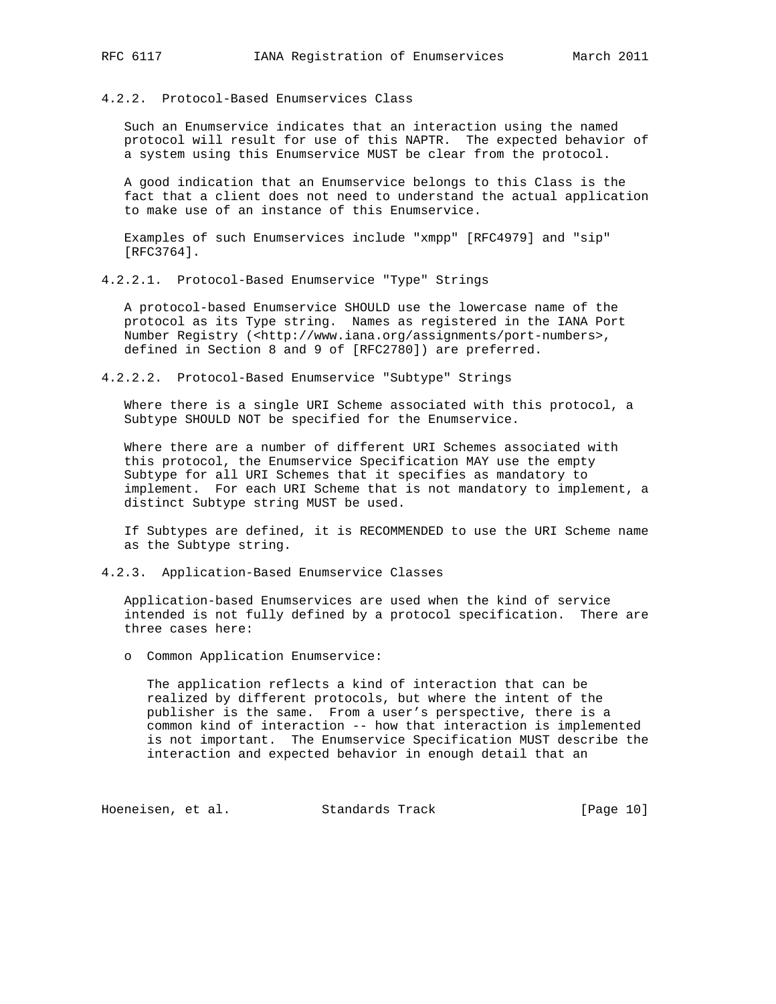4.2.2. Protocol-Based Enumservices Class

 Such an Enumservice indicates that an interaction using the named protocol will result for use of this NAPTR. The expected behavior of a system using this Enumservice MUST be clear from the protocol.

 A good indication that an Enumservice belongs to this Class is the fact that a client does not need to understand the actual application to make use of an instance of this Enumservice.

 Examples of such Enumservices include "xmpp" [RFC4979] and "sip" [RFC3764].

4.2.2.1. Protocol-Based Enumservice "Type" Strings

 A protocol-based Enumservice SHOULD use the lowercase name of the protocol as its Type string. Names as registered in the IANA Port Number Registry (<http://www.iana.org/assignments/port-numbers>, defined in Section 8 and 9 of [RFC2780]) are preferred.

4.2.2.2. Protocol-Based Enumservice "Subtype" Strings

 Where there is a single URI Scheme associated with this protocol, a Subtype SHOULD NOT be specified for the Enumservice.

 Where there are a number of different URI Schemes associated with this protocol, the Enumservice Specification MAY use the empty Subtype for all URI Schemes that it specifies as mandatory to implement. For each URI Scheme that is not mandatory to implement, a distinct Subtype string MUST be used.

 If Subtypes are defined, it is RECOMMENDED to use the URI Scheme name as the Subtype string.

4.2.3. Application-Based Enumservice Classes

 Application-based Enumservices are used when the kind of service intended is not fully defined by a protocol specification. There are three cases here:

o Common Application Enumservice:

 The application reflects a kind of interaction that can be realized by different protocols, but where the intent of the publisher is the same. From a user's perspective, there is a common kind of interaction -- how that interaction is implemented is not important. The Enumservice Specification MUST describe the interaction and expected behavior in enough detail that an

Hoeneisen, et al. Standards Track [Page 10]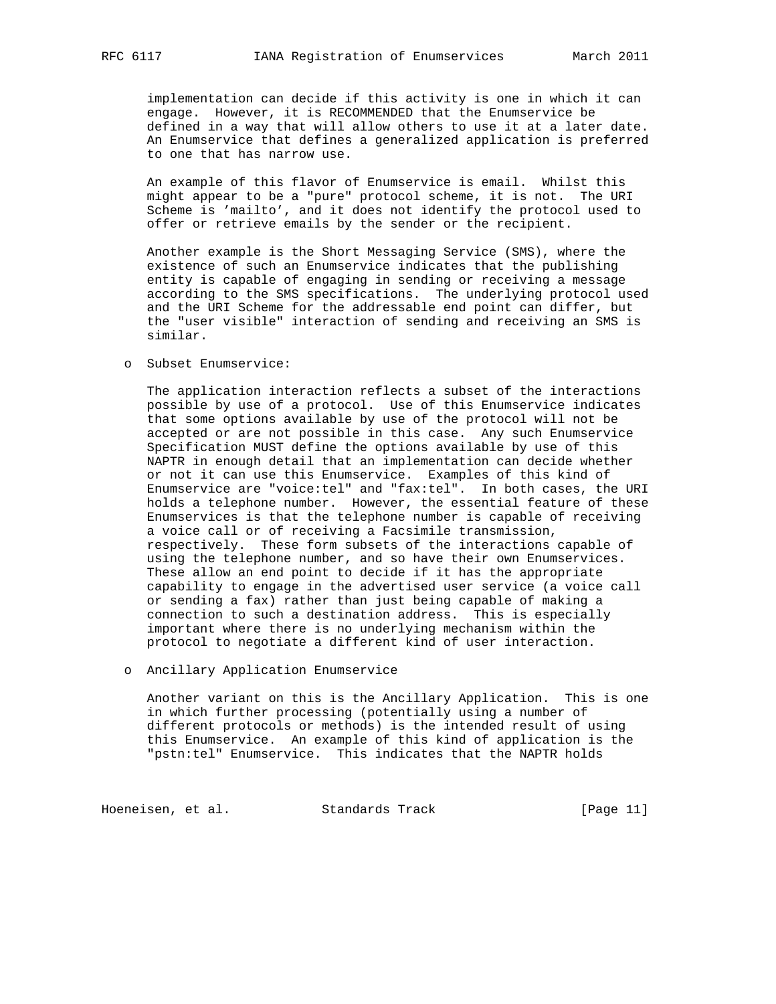implementation can decide if this activity is one in which it can engage. However, it is RECOMMENDED that the Enumservice be defined in a way that will allow others to use it at a later date. An Enumservice that defines a generalized application is preferred to one that has narrow use.

 An example of this flavor of Enumservice is email. Whilst this might appear to be a "pure" protocol scheme, it is not. The URI Scheme is 'mailto', and it does not identify the protocol used to offer or retrieve emails by the sender or the recipient.

 Another example is the Short Messaging Service (SMS), where the existence of such an Enumservice indicates that the publishing entity is capable of engaging in sending or receiving a message according to the SMS specifications. The underlying protocol used and the URI Scheme for the addressable end point can differ, but the "user visible" interaction of sending and receiving an SMS is similar.

o Subset Enumservice:

 The application interaction reflects a subset of the interactions possible by use of a protocol. Use of this Enumservice indicates that some options available by use of the protocol will not be accepted or are not possible in this case. Any such Enumservice Specification MUST define the options available by use of this NAPTR in enough detail that an implementation can decide whether or not it can use this Enumservice. Examples of this kind of Enumservice are "voice:tel" and "fax:tel". In both cases, the URI holds a telephone number. However, the essential feature of these Enumservices is that the telephone number is capable of receiving a voice call or of receiving a Facsimile transmission, respectively. These form subsets of the interactions capable of using the telephone number, and so have their own Enumservices. These allow an end point to decide if it has the appropriate capability to engage in the advertised user service (a voice call or sending a fax) rather than just being capable of making a connection to such a destination address. This is especially important where there is no underlying mechanism within the protocol to negotiate a different kind of user interaction.

o Ancillary Application Enumservice

 Another variant on this is the Ancillary Application. This is one in which further processing (potentially using a number of different protocols or methods) is the intended result of using this Enumservice. An example of this kind of application is the "pstn:tel" Enumservice. This indicates that the NAPTR holds

Hoeneisen, et al. Standards Track [Page 11]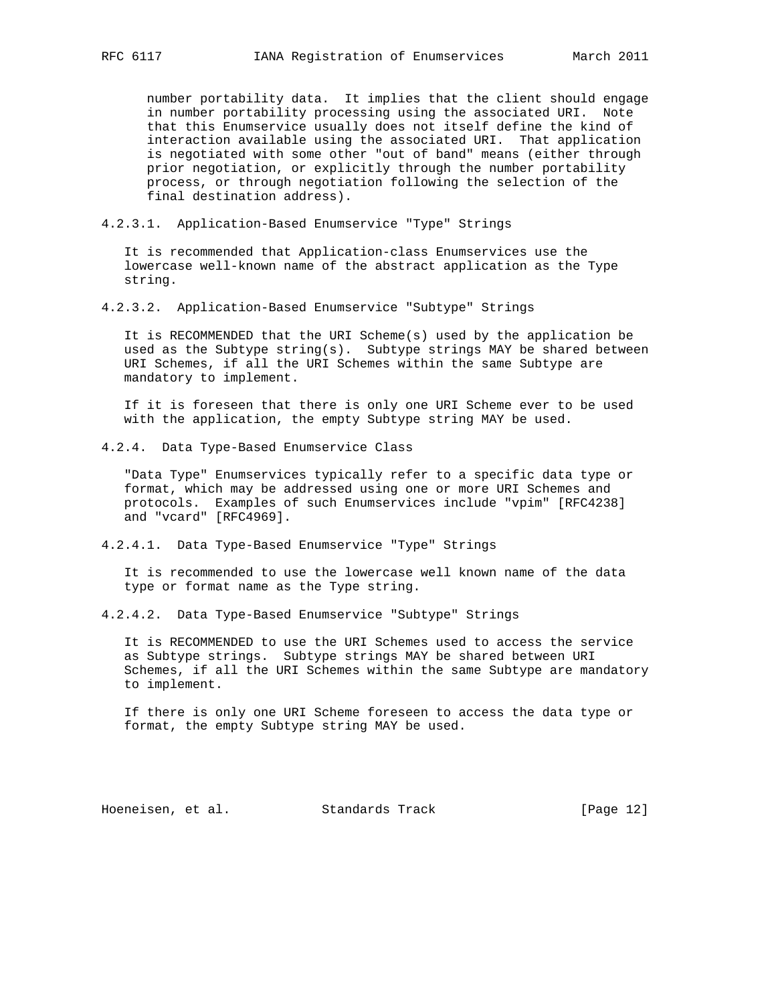number portability data. It implies that the client should engage in number portability processing using the associated URI. Note that this Enumservice usually does not itself define the kind of interaction available using the associated URI. That application is negotiated with some other "out of band" means (either through prior negotiation, or explicitly through the number portability process, or through negotiation following the selection of the final destination address).

4.2.3.1. Application-Based Enumservice "Type" Strings

 It is recommended that Application-class Enumservices use the lowercase well-known name of the abstract application as the Type string.

4.2.3.2. Application-Based Enumservice "Subtype" Strings

 It is RECOMMENDED that the URI Scheme(s) used by the application be used as the Subtype string(s). Subtype strings MAY be shared between URI Schemes, if all the URI Schemes within the same Subtype are mandatory to implement.

 If it is foreseen that there is only one URI Scheme ever to be used with the application, the empty Subtype string MAY be used.

4.2.4. Data Type-Based Enumservice Class

 "Data Type" Enumservices typically refer to a specific data type or format, which may be addressed using one or more URI Schemes and protocols. Examples of such Enumservices include "vpim" [RFC4238] and "vcard" [RFC4969].

4.2.4.1. Data Type-Based Enumservice "Type" Strings

 It is recommended to use the lowercase well known name of the data type or format name as the Type string.

4.2.4.2. Data Type-Based Enumservice "Subtype" Strings

 It is RECOMMENDED to use the URI Schemes used to access the service as Subtype strings. Subtype strings MAY be shared between URI Schemes, if all the URI Schemes within the same Subtype are mandatory to implement.

 If there is only one URI Scheme foreseen to access the data type or format, the empty Subtype string MAY be used.

Hoeneisen, et al. Standards Track [Page 12]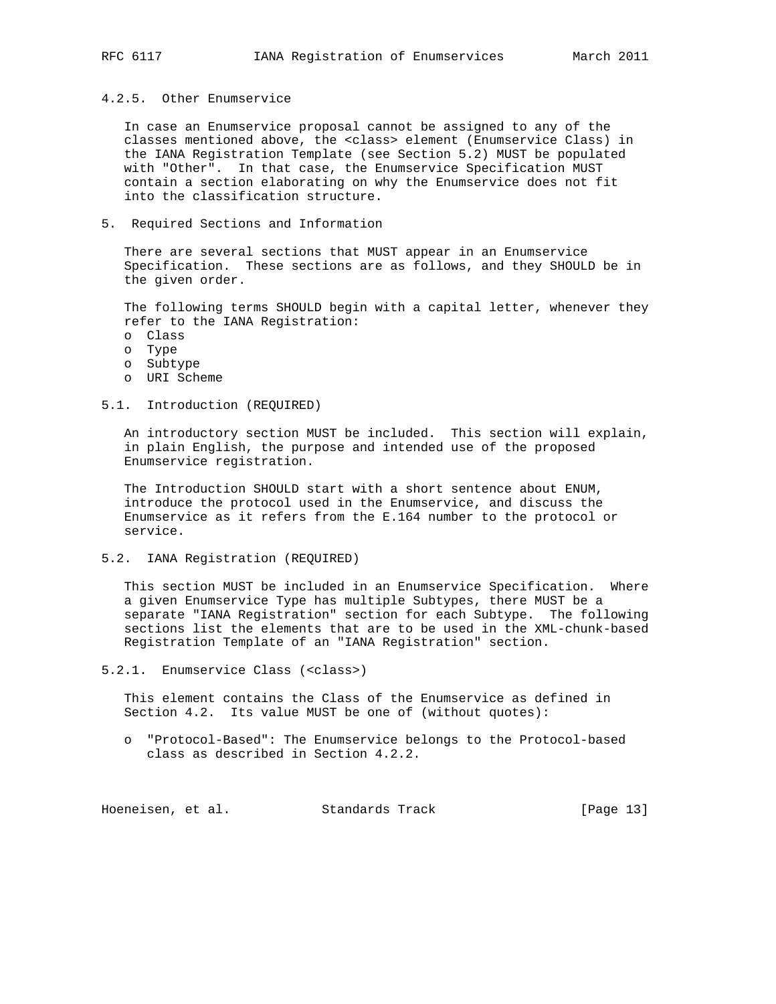4.2.5. Other Enumservice

 In case an Enumservice proposal cannot be assigned to any of the classes mentioned above, the <class> element (Enumservice Class) in the IANA Registration Template (see Section 5.2) MUST be populated with "Other". In that case, the Enumservice Specification MUST contain a section elaborating on why the Enumservice does not fit into the classification structure.

5. Required Sections and Information

 There are several sections that MUST appear in an Enumservice Specification. These sections are as follows, and they SHOULD be in the given order.

 The following terms SHOULD begin with a capital letter, whenever they refer to the IANA Registration:

- o Class
- o Type
- o Subtype
- o URI Scheme

## 5.1. Introduction (REQUIRED)

 An introductory section MUST be included. This section will explain, in plain English, the purpose and intended use of the proposed Enumservice registration.

 The Introduction SHOULD start with a short sentence about ENUM, introduce the protocol used in the Enumservice, and discuss the Enumservice as it refers from the E.164 number to the protocol or service.

5.2. IANA Registration (REQUIRED)

 This section MUST be included in an Enumservice Specification. Where a given Enumservice Type has multiple Subtypes, there MUST be a separate "IANA Registration" section for each Subtype. The following sections list the elements that are to be used in the XML-chunk-based Registration Template of an "IANA Registration" section.

5.2.1. Enumservice Class (<class>)

 This element contains the Class of the Enumservice as defined in Section 4.2. Its value MUST be one of (without quotes):

 o "Protocol-Based": The Enumservice belongs to the Protocol-based class as described in Section 4.2.2.

Hoeneisen, et al. Standards Track [Page 13]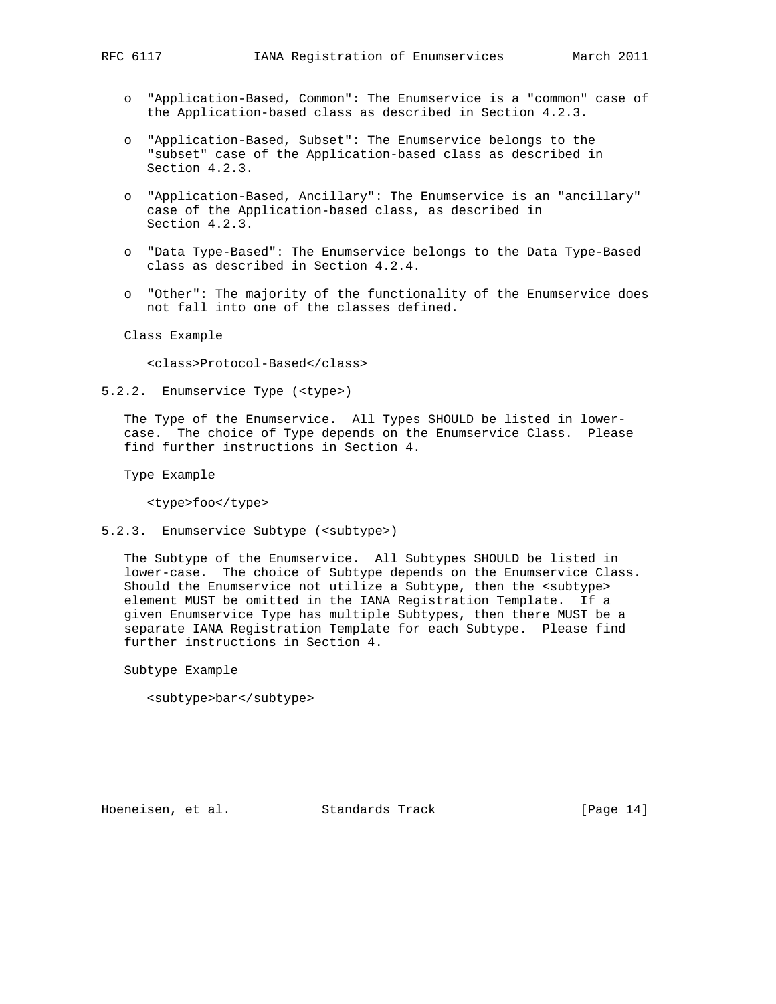- o "Application-Based, Common": The Enumservice is a "common" case of the Application-based class as described in Section 4.2.3.
- o "Application-Based, Subset": The Enumservice belongs to the "subset" case of the Application-based class as described in Section 4.2.3.
- o "Application-Based, Ancillary": The Enumservice is an "ancillary" case of the Application-based class, as described in Section 4.2.3.
- o "Data Type-Based": The Enumservice belongs to the Data Type-Based class as described in Section 4.2.4.
- o "Other": The majority of the functionality of the Enumservice does not fall into one of the classes defined.

Class Example

<class>Protocol-Based</class>

5.2.2. Enumservice Type (<type>)

 The Type of the Enumservice. All Types SHOULD be listed in lower case. The choice of Type depends on the Enumservice Class. Please find further instructions in Section 4.

Type Example

<type>foo</type>

5.2.3. Enumservice Subtype (<subtype>)

 The Subtype of the Enumservice. All Subtypes SHOULD be listed in lower-case. The choice of Subtype depends on the Enumservice Class. Should the Enumservice not utilize a Subtype, then the <subtype> element MUST be omitted in the IANA Registration Template. If a given Enumservice Type has multiple Subtypes, then there MUST be a separate IANA Registration Template for each Subtype. Please find further instructions in Section 4.

Subtype Example

<subtype>bar</subtype>

Hoeneisen, et al. Standards Track [Page 14]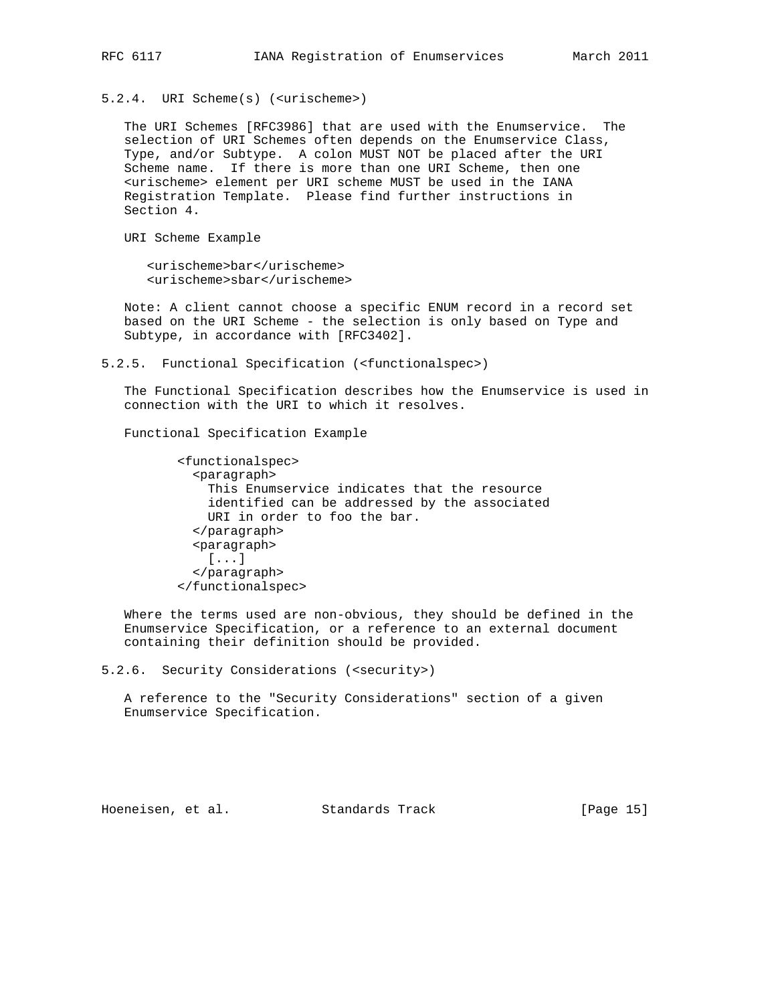5.2.4. URI Scheme(s) (<urischeme>)

 The URI Schemes [RFC3986] that are used with the Enumservice. The selection of URI Schemes often depends on the Enumservice Class, Type, and/or Subtype. A colon MUST NOT be placed after the URI Scheme name. If there is more than one URI Scheme, then one <urischeme> element per URI scheme MUST be used in the IANA Registration Template. Please find further instructions in Section 4.

URI Scheme Example

 <urischeme>bar</urischeme> <urischeme>sbar</urischeme>

 Note: A client cannot choose a specific ENUM record in a record set based on the URI Scheme - the selection is only based on Type and Subtype, in accordance with [RFC3402].

5.2.5. Functional Specification (<functionalspec>)

 The Functional Specification describes how the Enumservice is used in connection with the URI to which it resolves.

Functional Specification Example

 <functionalspec> <paragraph> This Enumservice indicates that the resource identified can be addressed by the associated URI in order to foo the bar. </paragraph> <paragraph> [...] </paragraph> </functionalspec>

 Where the terms used are non-obvious, they should be defined in the Enumservice Specification, or a reference to an external document containing their definition should be provided.

5.2.6. Security Considerations (<security>)

 A reference to the "Security Considerations" section of a given Enumservice Specification.

Hoeneisen, et al. Standards Track [Page 15]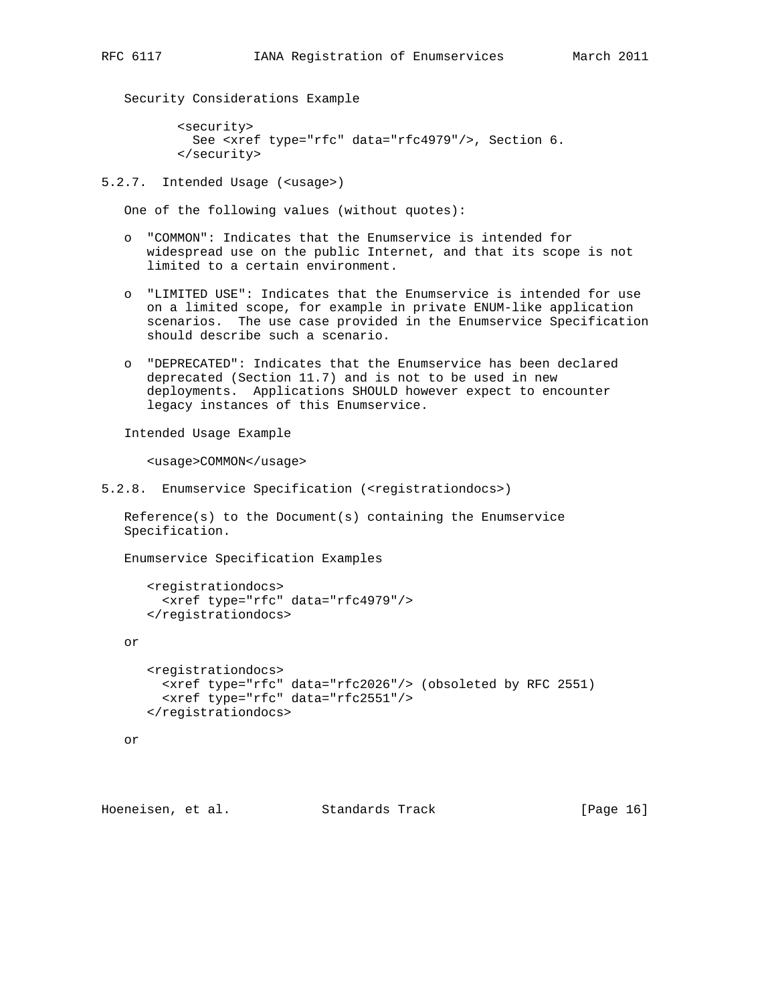Security Considerations Example

 <security> See <xref type="rfc" data="rfc4979"/>, Section 6. </security>

5.2.7. Intended Usage (<usage>)

One of the following values (without quotes):

- o "COMMON": Indicates that the Enumservice is intended for widespread use on the public Internet, and that its scope is not limited to a certain environment.
- o "LIMITED USE": Indicates that the Enumservice is intended for use on a limited scope, for example in private ENUM-like application scenarios. The use case provided in the Enumservice Specification should describe such a scenario.
- o "DEPRECATED": Indicates that the Enumservice has been declared deprecated (Section 11.7) and is not to be used in new deployments. Applications SHOULD however expect to encounter legacy instances of this Enumservice.

Intended Usage Example

<usage>COMMON</usage>

```
5.2.8. Enumservice Specification (<registrationdocs>)
```
 Reference(s) to the Document(s) containing the Enumservice Specification.

Enumservice Specification Examples

```
 <registrationdocs>
  <xref type="rfc" data="rfc4979"/>
 </registrationdocs>
```
or

```
 <registrationdocs>
  <xref type="rfc" data="rfc2026"/> (obsoleted by RFC 2551)
  <xref type="rfc" data="rfc2551"/>
 </registrationdocs>
```

```
 or
```
Hoeneisen, et al. Standards Track [Page 16]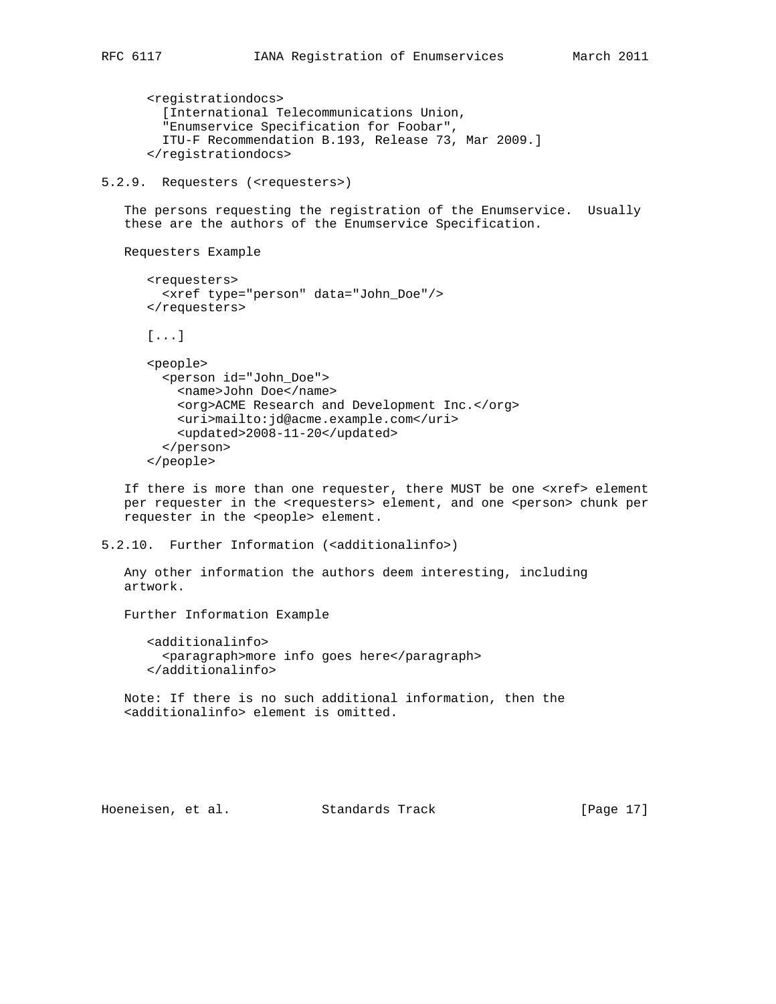```
 <registrationdocs>
   [International Telecommunications Union,
   "Enumservice Specification for Foobar",
   ITU-F Recommendation B.193, Release 73, Mar 2009.]
 </registrationdocs>
```
5.2.9. Requesters (<requesters>)

 The persons requesting the registration of the Enumservice. Usually these are the authors of the Enumservice Specification.

Requesters Example

```
 <requesters>
   <xref type="person" data="John_Doe"/>
 </requesters>
 [...]
 <people>
   <person id="John_Doe">
    <name>John Doe</name>
     <org>ACME Research and Development Inc.</org>
     <uri>mailto:jd@acme.example.com</uri>
     <updated>2008-11-20</updated>
   </person>
 </people>
```
 If there is more than one requester, there MUST be one <xref> element per requester in the <requesters> element, and one <person> chunk per requester in the <people> element.

5.2.10. Further Information (<additionalinfo>)

 Any other information the authors deem interesting, including artwork.

Further Information Example

 <additionalinfo> <paragraph>more info goes here</paragraph> </additionalinfo>

 Note: If there is no such additional information, then the <additionalinfo> element is omitted.

Hoeneisen, et al. Standards Track [Page 17]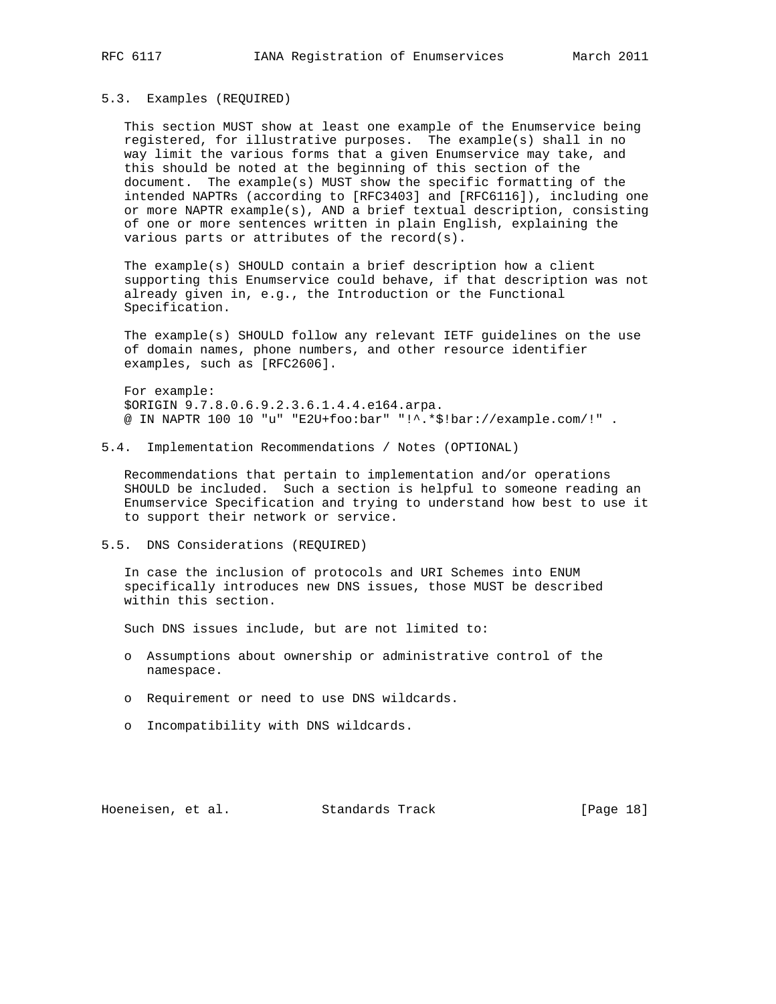## 5.3. Examples (REQUIRED)

 This section MUST show at least one example of the Enumservice being registered, for illustrative purposes. The example(s) shall in no way limit the various forms that a given Enumservice may take, and this should be noted at the beginning of this section of the document. The example(s) MUST show the specific formatting of the intended NAPTRs (according to [RFC3403] and [RFC6116]), including one or more NAPTR example(s), AND a brief textual description, consisting of one or more sentences written in plain English, explaining the various parts or attributes of the record(s).

 The example(s) SHOULD contain a brief description how a client supporting this Enumservice could behave, if that description was not already given in, e.g., the Introduction or the Functional Specification.

 The example(s) SHOULD follow any relevant IETF guidelines on the use of domain names, phone numbers, and other resource identifier examples, such as [RFC2606].

 For example: \$ORIGIN 9.7.8.0.6.9.2.3.6.1.4.4.e164.arpa. @ IN NAPTR 100 10 "u" "E2U+foo:bar" "!^.\*\$!bar://example.com/!" .

5.4. Implementation Recommendations / Notes (OPTIONAL)

 Recommendations that pertain to implementation and/or operations SHOULD be included. Such a section is helpful to someone reading an Enumservice Specification and trying to understand how best to use it to support their network or service.

5.5. DNS Considerations (REQUIRED)

 In case the inclusion of protocols and URI Schemes into ENUM specifically introduces new DNS issues, those MUST be described within this section.

Such DNS issues include, but are not limited to:

- o Assumptions about ownership or administrative control of the namespace.
- o Requirement or need to use DNS wildcards.
- o Incompatibility with DNS wildcards.

Hoeneisen, et al. Standards Track [Page 18]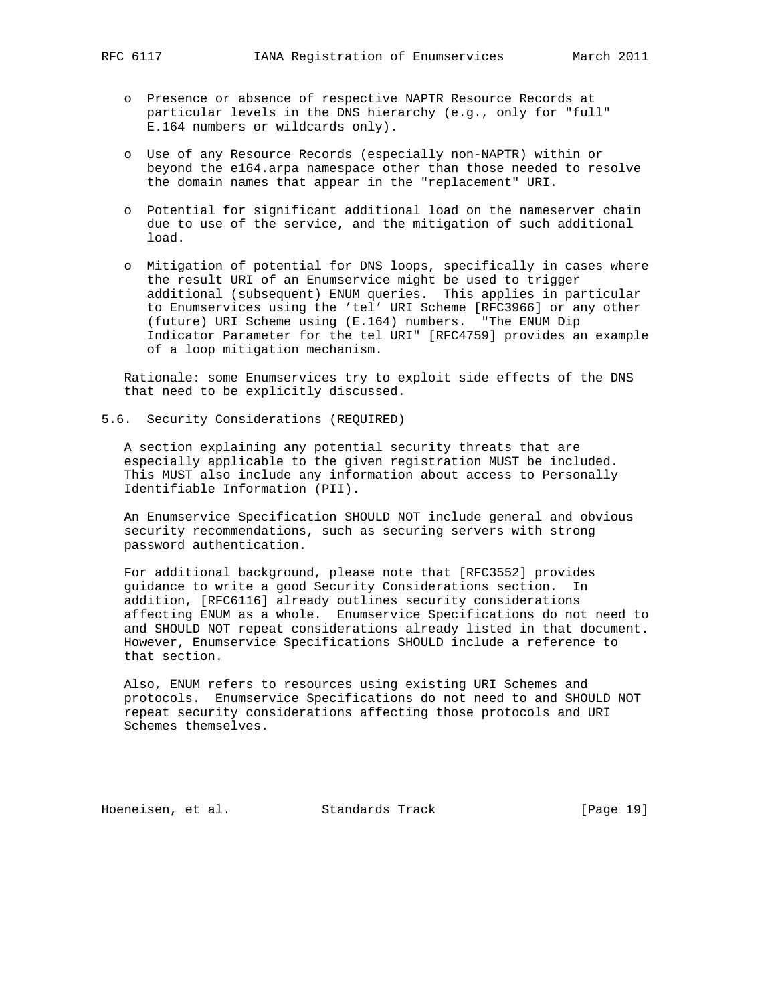- o Presence or absence of respective NAPTR Resource Records at particular levels in the DNS hierarchy (e.g., only for "full" E.164 numbers or wildcards only).
- o Use of any Resource Records (especially non-NAPTR) within or beyond the e164.arpa namespace other than those needed to resolve the domain names that appear in the "replacement" URI.
- o Potential for significant additional load on the nameserver chain due to use of the service, and the mitigation of such additional load.
- o Mitigation of potential for DNS loops, specifically in cases where the result URI of an Enumservice might be used to trigger additional (subsequent) ENUM queries. This applies in particular to Enumservices using the 'tel' URI Scheme [RFC3966] or any other (future) URI Scheme using (E.164) numbers. "The ENUM Dip Indicator Parameter for the tel URI" [RFC4759] provides an example of a loop mitigation mechanism.

 Rationale: some Enumservices try to exploit side effects of the DNS that need to be explicitly discussed.

5.6. Security Considerations (REQUIRED)

 A section explaining any potential security threats that are especially applicable to the given registration MUST be included. This MUST also include any information about access to Personally Identifiable Information (PII).

 An Enumservice Specification SHOULD NOT include general and obvious security recommendations, such as securing servers with strong password authentication.

 For additional background, please note that [RFC3552] provides guidance to write a good Security Considerations section. In addition, [RFC6116] already outlines security considerations affecting ENUM as a whole. Enumservice Specifications do not need to and SHOULD NOT repeat considerations already listed in that document. However, Enumservice Specifications SHOULD include a reference to that section.

 Also, ENUM refers to resources using existing URI Schemes and protocols. Enumservice Specifications do not need to and SHOULD NOT repeat security considerations affecting those protocols and URI Schemes themselves.

Hoeneisen, et al. Standards Track [Page 19]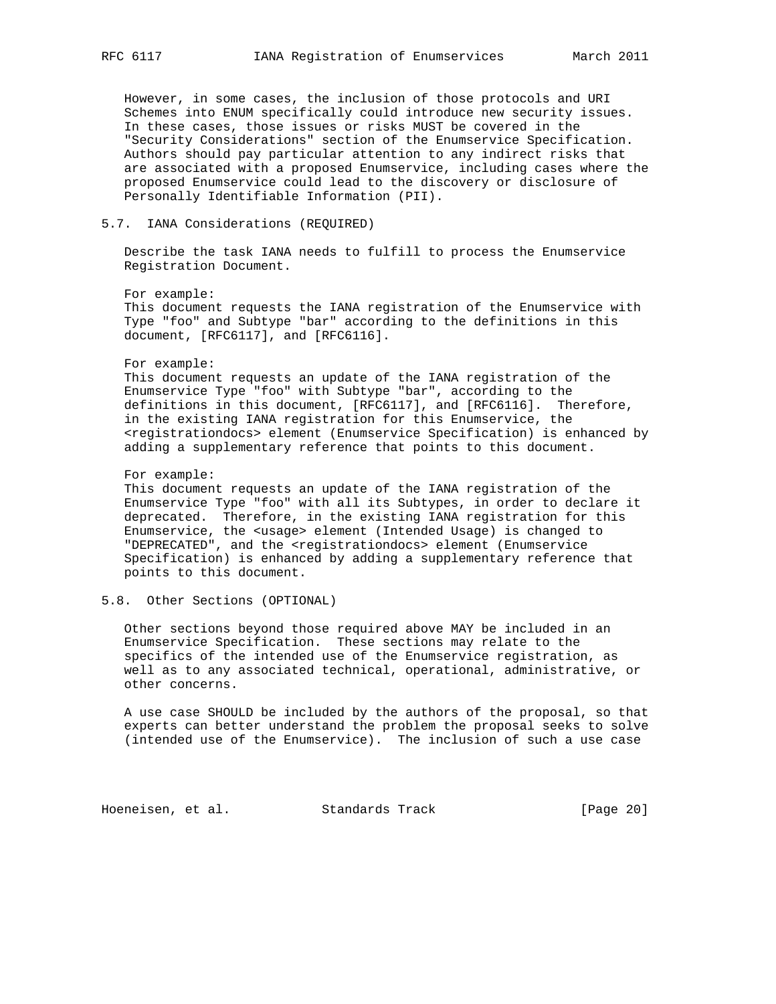However, in some cases, the inclusion of those protocols and URI Schemes into ENUM specifically could introduce new security issues. In these cases, those issues or risks MUST be covered in the "Security Considerations" section of the Enumservice Specification. Authors should pay particular attention to any indirect risks that are associated with a proposed Enumservice, including cases where the proposed Enumservice could lead to the discovery or disclosure of Personally Identifiable Information (PII).

## 5.7. IANA Considerations (REQUIRED)

 Describe the task IANA needs to fulfill to process the Enumservice Registration Document.

 For example: This document requests the IANA registration of the Enumservice with Type "foo" and Subtype "bar" according to the definitions in this document, [RFC6117], and [RFC6116].

#### For example:

 This document requests an update of the IANA registration of the Enumservice Type "foo" with Subtype "bar", according to the definitions in this document, [RFC6117], and [RFC6116]. Therefore, in the existing IANA registration for this Enumservice, the <registrationdocs> element (Enumservice Specification) is enhanced by adding a supplementary reference that points to this document.

#### For example:

 This document requests an update of the IANA registration of the Enumservice Type "foo" with all its Subtypes, in order to declare it deprecated. Therefore, in the existing IANA registration for this Enumservice, the <usage> element (Intended Usage) is changed to "DEPRECATED", and the <registrationdocs> element (Enumservice Specification) is enhanced by adding a supplementary reference that points to this document.

## 5.8. Other Sections (OPTIONAL)

 Other sections beyond those required above MAY be included in an Enumservice Specification. These sections may relate to the specifics of the intended use of the Enumservice registration, as well as to any associated technical, operational, administrative, or other concerns.

 A use case SHOULD be included by the authors of the proposal, so that experts can better understand the problem the proposal seeks to solve (intended use of the Enumservice). The inclusion of such a use case

Hoeneisen, et al. Standards Track [Page 20]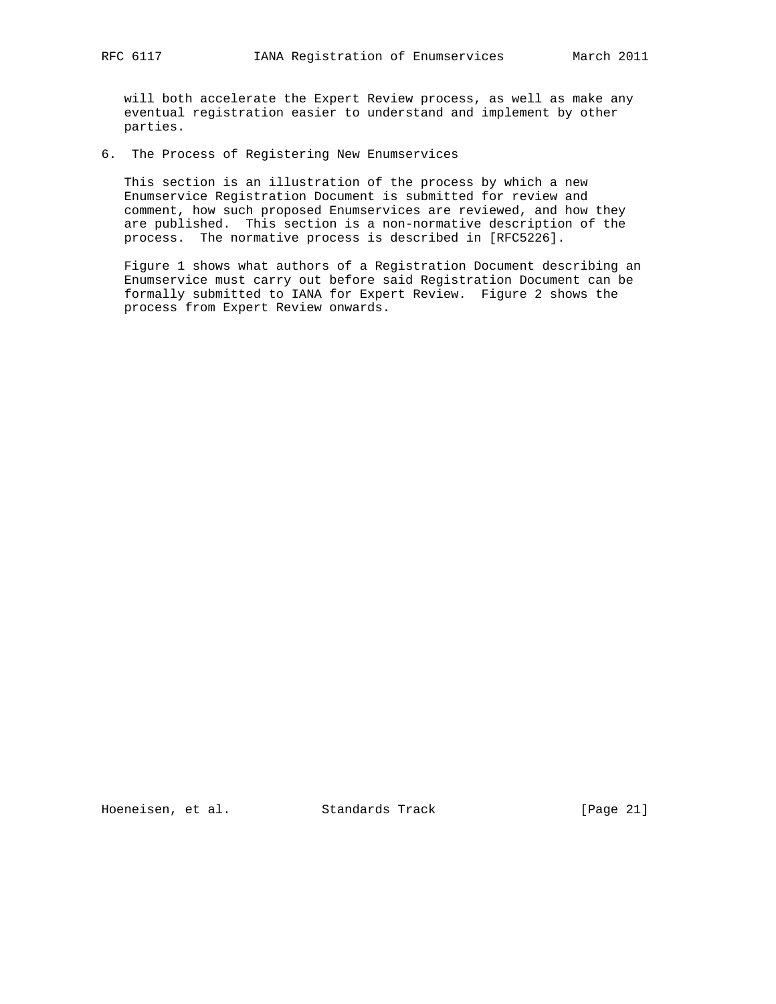will both accelerate the Expert Review process, as well as make any eventual registration easier to understand and implement by other parties.

6. The Process of Registering New Enumservices

 This section is an illustration of the process by which a new Enumservice Registration Document is submitted for review and comment, how such proposed Enumservices are reviewed, and how they are published. This section is a non-normative description of the process. The normative process is described in [RFC5226].

 Figure 1 shows what authors of a Registration Document describing an Enumservice must carry out before said Registration Document can be formally submitted to IANA for Expert Review. Figure 2 shows the process from Expert Review onwards.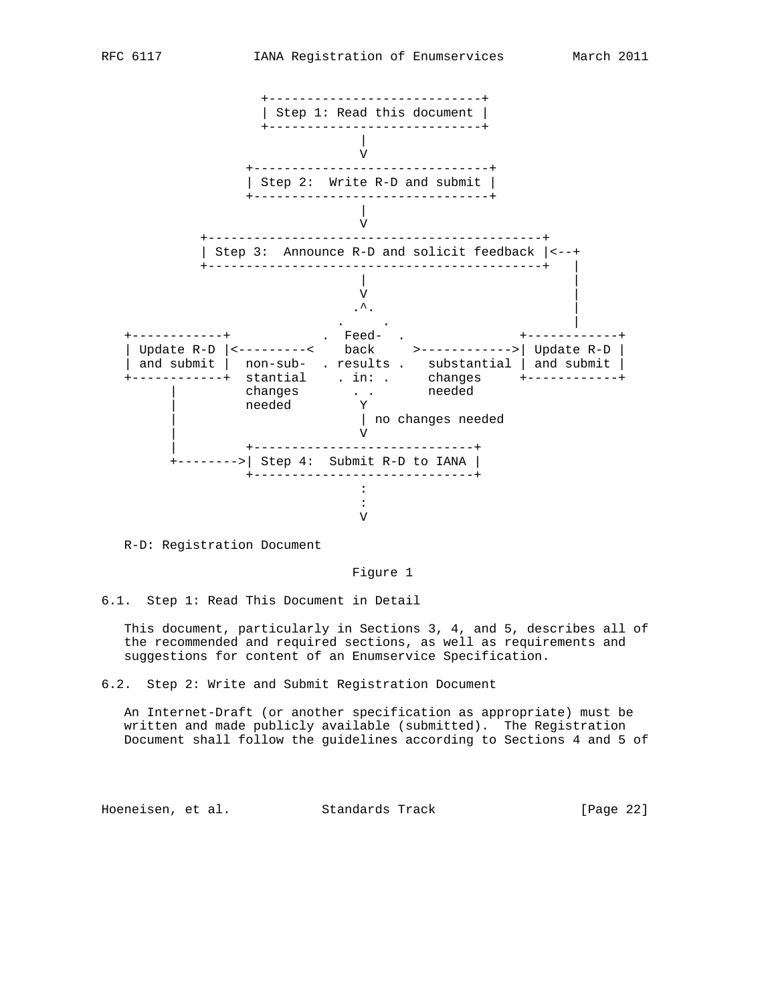

R-D: Registration Document

Figure 1

6.1. Step 1: Read This Document in Detail

 This document, particularly in Sections 3, 4, and 5, describes all of the recommended and required sections, as well as requirements and suggestions for content of an Enumservice Specification.

6.2. Step 2: Write and Submit Registration Document

 An Internet-Draft (or another specification as appropriate) must be written and made publicly available (submitted). The Registration Document shall follow the guidelines according to Sections 4 and 5 of

Hoeneisen, et al. Standards Track [Page 22]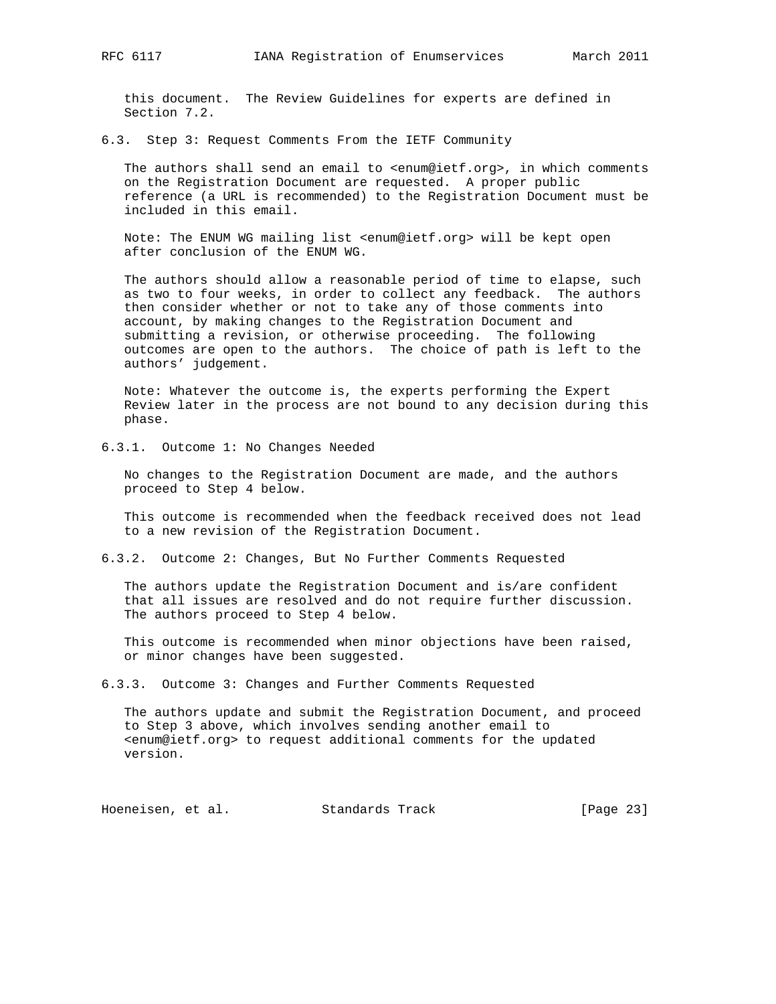this document. The Review Guidelines for experts are defined in Section 7.2.

6.3. Step 3: Request Comments From the IETF Community

 The authors shall send an email to <enum@ietf.org>, in which comments on the Registration Document are requested. A proper public reference (a URL is recommended) to the Registration Document must be included in this email.

 Note: The ENUM WG mailing list <enum@ietf.org> will be kept open after conclusion of the ENUM WG.

 The authors should allow a reasonable period of time to elapse, such as two to four weeks, in order to collect any feedback. The authors then consider whether or not to take any of those comments into account, by making changes to the Registration Document and submitting a revision, or otherwise proceeding. The following outcomes are open to the authors. The choice of path is left to the authors' judgement.

 Note: Whatever the outcome is, the experts performing the Expert Review later in the process are not bound to any decision during this phase.

6.3.1. Outcome 1: No Changes Needed

 No changes to the Registration Document are made, and the authors proceed to Step 4 below.

 This outcome is recommended when the feedback received does not lead to a new revision of the Registration Document.

6.3.2. Outcome 2: Changes, But No Further Comments Requested

 The authors update the Registration Document and is/are confident that all issues are resolved and do not require further discussion. The authors proceed to Step 4 below.

 This outcome is recommended when minor objections have been raised, or minor changes have been suggested.

6.3.3. Outcome 3: Changes and Further Comments Requested

 The authors update and submit the Registration Document, and proceed to Step 3 above, which involves sending another email to <enum@ietf.org> to request additional comments for the updated version.

Hoeneisen, et al. Standards Track [Page 23]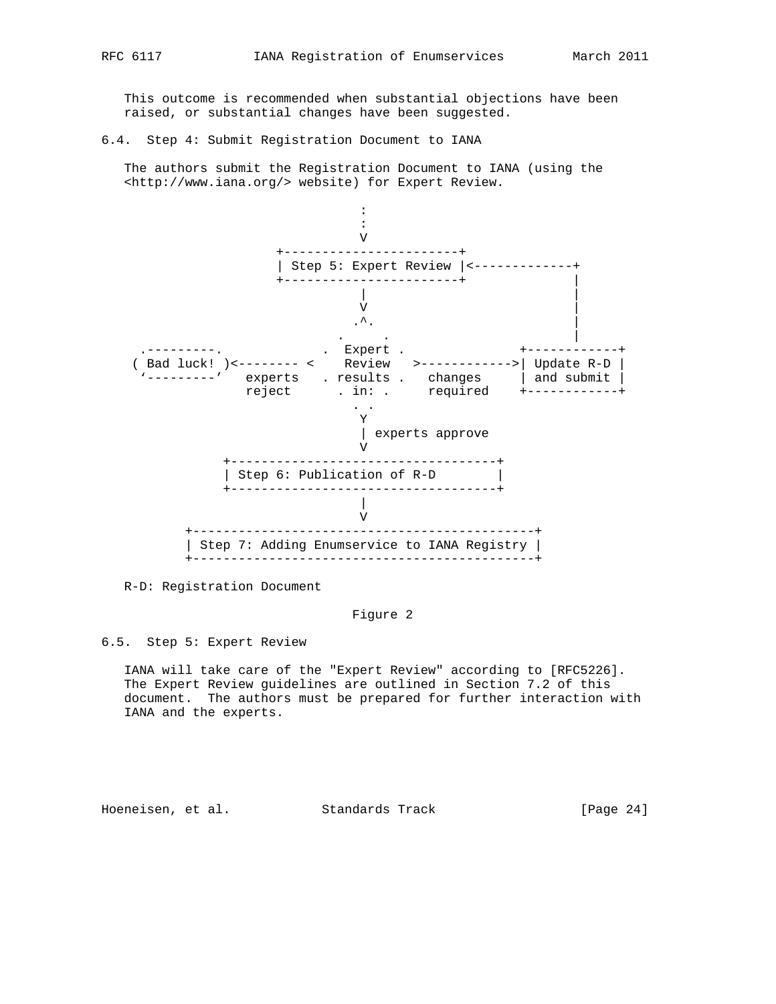This outcome is recommended when substantial objections have been raised, or substantial changes have been suggested.

6.4. Step 4: Submit Registration Document to IANA

 The authors submit the Registration Document to IANA (using the <http://www.iana.org/> website) for Expert Review.



R-D: Registration Document

## Figure 2

6.5. Step 5: Expert Review

 IANA will take care of the "Expert Review" according to [RFC5226]. The Expert Review guidelines are outlined in Section 7.2 of this document. The authors must be prepared for further interaction with IANA and the experts.

Hoeneisen, et al. Standards Track [Page 24]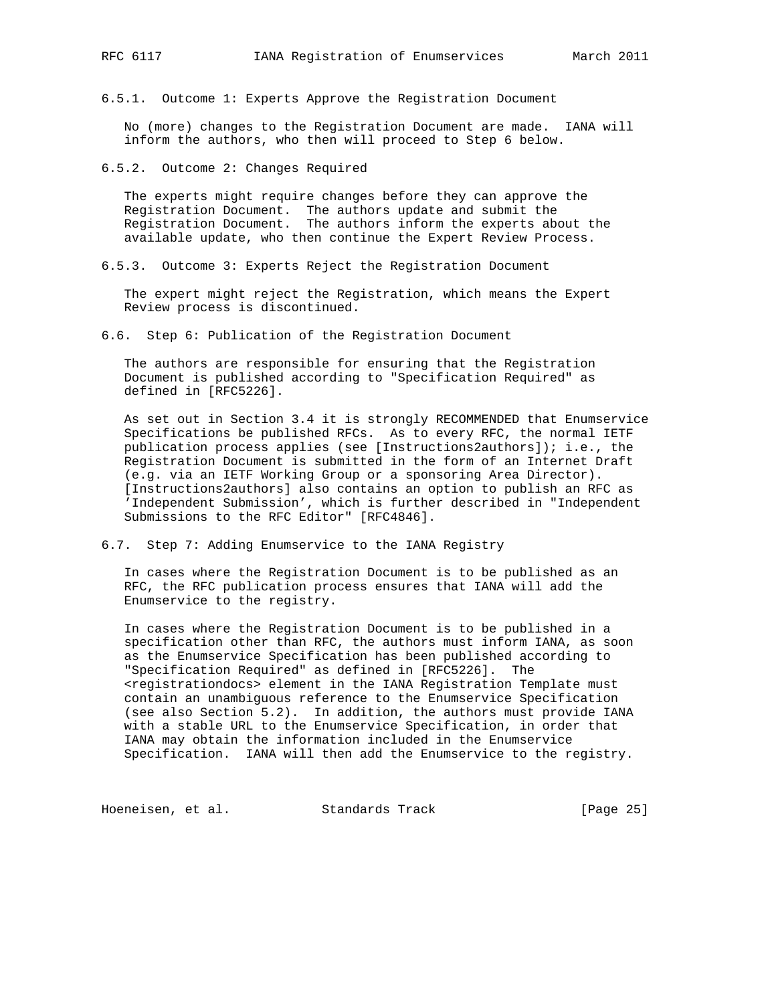6.5.1. Outcome 1: Experts Approve the Registration Document

 No (more) changes to the Registration Document are made. IANA will inform the authors, who then will proceed to Step 6 below.

6.5.2. Outcome 2: Changes Required

 The experts might require changes before they can approve the Registration Document. The authors update and submit the Registration Document. The authors inform the experts about the available update, who then continue the Expert Review Process.

6.5.3. Outcome 3: Experts Reject the Registration Document

 The expert might reject the Registration, which means the Expert Review process is discontinued.

6.6. Step 6: Publication of the Registration Document

 The authors are responsible for ensuring that the Registration Document is published according to "Specification Required" as defined in [RFC5226].

 As set out in Section 3.4 it is strongly RECOMMENDED that Enumservice Specifications be published RFCs. As to every RFC, the normal IETF publication process applies (see [Instructions2authors]); i.e., the Registration Document is submitted in the form of an Internet Draft (e.g. via an IETF Working Group or a sponsoring Area Director). [Instructions2authors] also contains an option to publish an RFC as 'Independent Submission', which is further described in "Independent Submissions to the RFC Editor" [RFC4846].

6.7. Step 7: Adding Enumservice to the IANA Registry

 In cases where the Registration Document is to be published as an RFC, the RFC publication process ensures that IANA will add the Enumservice to the registry.

 In cases where the Registration Document is to be published in a specification other than RFC, the authors must inform IANA, as soon as the Enumservice Specification has been published according to "Specification Required" as defined in [RFC5226]. The <registrationdocs> element in the IANA Registration Template must contain an unambiguous reference to the Enumservice Specification (see also Section 5.2). In addition, the authors must provide IANA with a stable URL to the Enumservice Specification, in order that IANA may obtain the information included in the Enumservice Specification. IANA will then add the Enumservice to the registry.

Hoeneisen, et al. Standards Track [Page 25]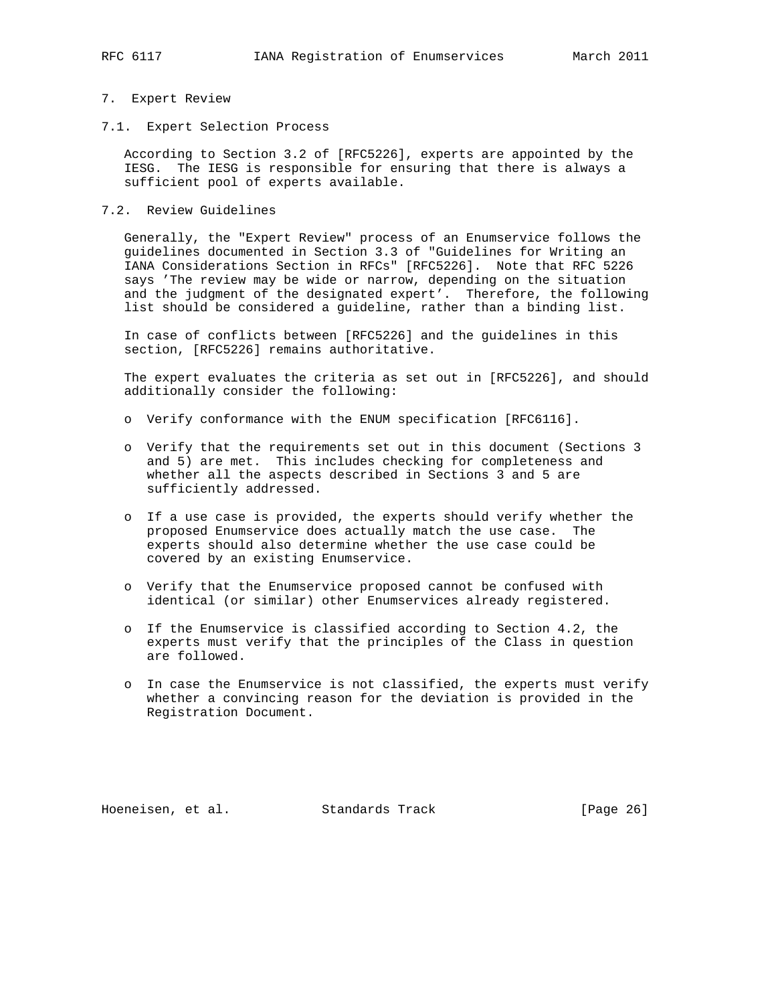#### 7. Expert Review

7.1. Expert Selection Process

 According to Section 3.2 of [RFC5226], experts are appointed by the IESG. The IESG is responsible for ensuring that there is always a sufficient pool of experts available.

#### 7.2. Review Guidelines

 Generally, the "Expert Review" process of an Enumservice follows the guidelines documented in Section 3.3 of "Guidelines for Writing an IANA Considerations Section in RFCs" [RFC5226]. Note that RFC 5226 says 'The review may be wide or narrow, depending on the situation and the judgment of the designated expert'. Therefore, the following list should be considered a guideline, rather than a binding list.

 In case of conflicts between [RFC5226] and the guidelines in this section, [RFC5226] remains authoritative.

 The expert evaluates the criteria as set out in [RFC5226], and should additionally consider the following:

- o Verify conformance with the ENUM specification [RFC6116].
- o Verify that the requirements set out in this document (Sections 3 and 5) are met. This includes checking for completeness and whether all the aspects described in Sections 3 and 5 are sufficiently addressed.
- o If a use case is provided, the experts should verify whether the proposed Enumservice does actually match the use case. The experts should also determine whether the use case could be covered by an existing Enumservice.
- o Verify that the Enumservice proposed cannot be confused with identical (or similar) other Enumservices already registered.
- o If the Enumservice is classified according to Section 4.2, the experts must verify that the principles of the Class in question are followed.
- o In case the Enumservice is not classified, the experts must verify whether a convincing reason for the deviation is provided in the Registration Document.

Hoeneisen, et al. Standards Track [Page 26]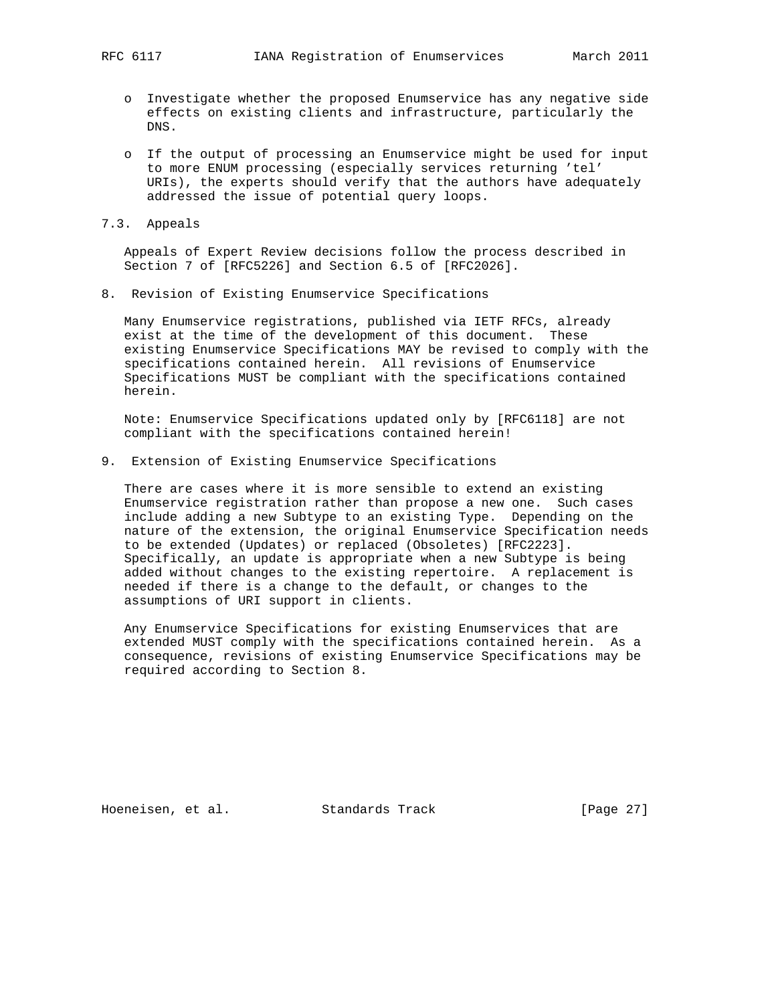- o Investigate whether the proposed Enumservice has any negative side effects on existing clients and infrastructure, particularly the DNS.
- o If the output of processing an Enumservice might be used for input to more ENUM processing (especially services returning 'tel' URIs), the experts should verify that the authors have adequately addressed the issue of potential query loops.
- 7.3. Appeals

 Appeals of Expert Review decisions follow the process described in Section 7 of [RFC5226] and Section 6.5 of [RFC2026].

8. Revision of Existing Enumservice Specifications

 Many Enumservice registrations, published via IETF RFCs, already exist at the time of the development of this document. These existing Enumservice Specifications MAY be revised to comply with the specifications contained herein. All revisions of Enumservice Specifications MUST be compliant with the specifications contained herein.

 Note: Enumservice Specifications updated only by [RFC6118] are not compliant with the specifications contained herein!

9. Extension of Existing Enumservice Specifications

 There are cases where it is more sensible to extend an existing Enumservice registration rather than propose a new one. Such cases include adding a new Subtype to an existing Type. Depending on the nature of the extension, the original Enumservice Specification needs to be extended (Updates) or replaced (Obsoletes) [RFC2223]. Specifically, an update is appropriate when a new Subtype is being added without changes to the existing repertoire. A replacement is needed if there is a change to the default, or changes to the assumptions of URI support in clients.

 Any Enumservice Specifications for existing Enumservices that are extended MUST comply with the specifications contained herein. As a consequence, revisions of existing Enumservice Specifications may be required according to Section 8.

Hoeneisen, et al. Standards Track [Page 27]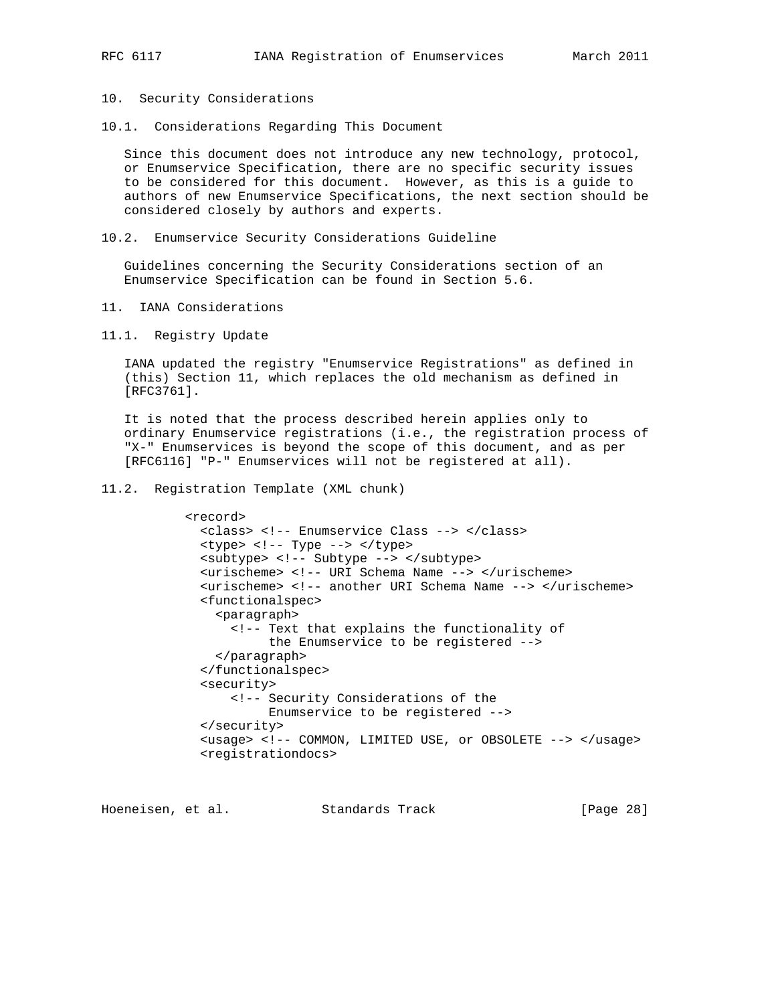- 10. Security Considerations
- 10.1. Considerations Regarding This Document

 Since this document does not introduce any new technology, protocol, or Enumservice Specification, there are no specific security issues to be considered for this document. However, as this is a guide to authors of new Enumservice Specifications, the next section should be considered closely by authors and experts.

10.2. Enumservice Security Considerations Guideline

 Guidelines concerning the Security Considerations section of an Enumservice Specification can be found in Section 5.6.

- 11. IANA Considerations
- 11.1. Registry Update

 IANA updated the registry "Enumservice Registrations" as defined in (this) Section 11, which replaces the old mechanism as defined in [RFC3761].

 It is noted that the process described herein applies only to ordinary Enumservice registrations (i.e., the registration process of "X-" Enumservices is beyond the scope of this document, and as per [RFC6116] "P-" Enumservices will not be registered at all).

11.2. Registration Template (XML chunk)

```
 <record>
  <class> <!-- Enumservice Class --> </class>
   <type> <!-- Type --> </type>
   <subtype> <!-- Subtype --> </subtype>
   <urischeme> <!-- URI Schema Name --> </urischeme>
   <urischeme> <!-- another URI Schema Name --> </urischeme>
   <functionalspec>
     <paragraph>
       <!-- Text that explains the functionality of
            the Enumservice to be registered -->
     </paragraph>
   </functionalspec>
   <security>
       <!-- Security Considerations of the
            Enumservice to be registered -->
   </security>
   <usage> <!-- COMMON, LIMITED USE, or OBSOLETE --> </usage>
   <registrationdocs>
```
Hoeneisen, et al. Standards Track [Page 28]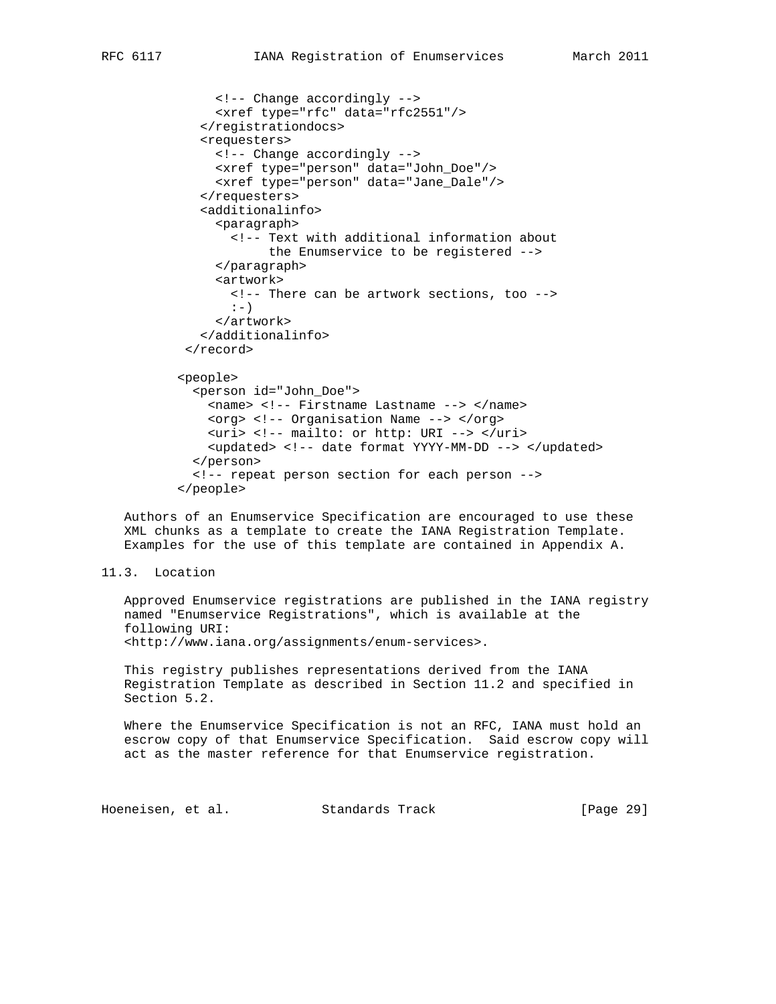```
 <!-- Change accordingly -->
      <xref type="rfc" data="rfc2551"/>
    </registrationdocs>
    <requesters>
      <!-- Change accordingly -->
      <xref type="person" data="John_Doe"/>
      <xref type="person" data="Jane_Dale"/>
    </requesters>
    <additionalinfo>
      <paragraph>
        <!-- Text with additional information about
             the Enumservice to be registered -->
      </paragraph>
      <artwork>
        <!-- There can be artwork sections, too -->
       :-) </artwork>
    </additionalinfo>
\langle /record>
 <people>
   <person id="John_Doe">
    <name> <!-- Firstname Lastname --> </name>
     <org> <!-- Organisation Name --> </org>
     <uri> <!-- mailto: or http: URI --> </uri>
     <updated> <!-- date format YYYY-MM-DD --> </updated>
   </person>
   <!-- repeat person section for each person -->
 </people>
```
 Authors of an Enumservice Specification are encouraged to use these XML chunks as a template to create the IANA Registration Template. Examples for the use of this template are contained in Appendix A.

```
11.3. Location
```
 Approved Enumservice registrations are published in the IANA registry named "Enumservice Registrations", which is available at the following URI: <http://www.iana.org/assignments/enum-services>.

 This registry publishes representations derived from the IANA Registration Template as described in Section 11.2 and specified in Section 5.2.

 Where the Enumservice Specification is not an RFC, IANA must hold an escrow copy of that Enumservice Specification. Said escrow copy will act as the master reference for that Enumservice registration.

Hoeneisen, et al. Standards Track [Page 29]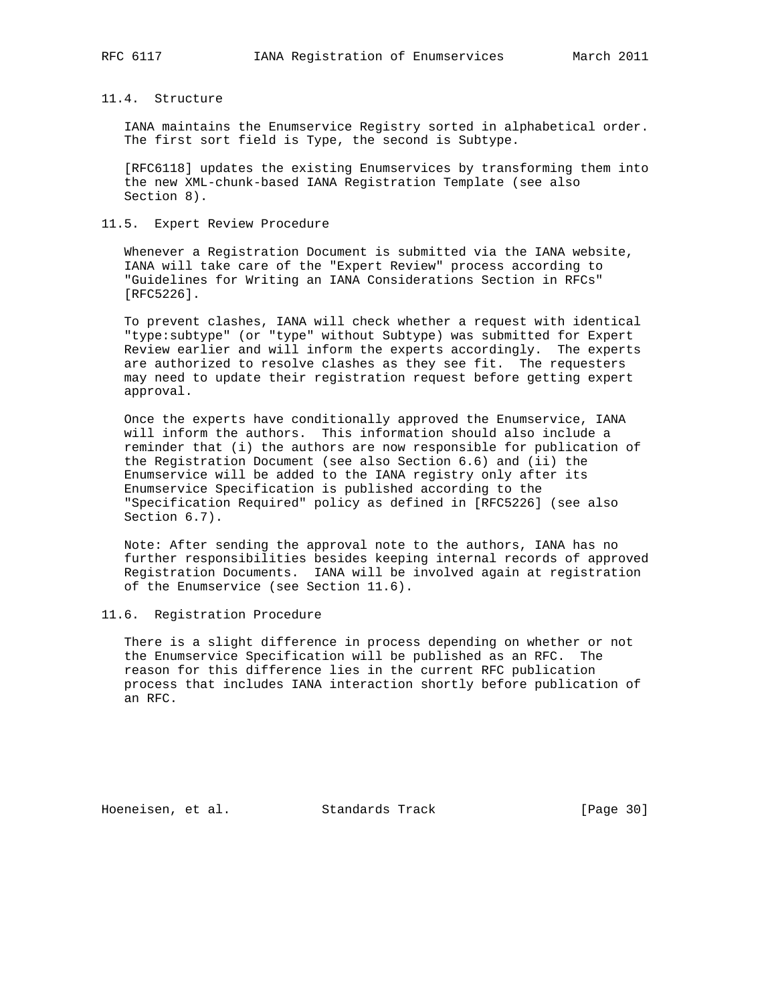## 11.4. Structure

 IANA maintains the Enumservice Registry sorted in alphabetical order. The first sort field is Type, the second is Subtype.

 [RFC6118] updates the existing Enumservices by transforming them into the new XML-chunk-based IANA Registration Template (see also Section 8).

## 11.5. Expert Review Procedure

 Whenever a Registration Document is submitted via the IANA website, IANA will take care of the "Expert Review" process according to "Guidelines for Writing an IANA Considerations Section in RFCs" [RFC5226].

 To prevent clashes, IANA will check whether a request with identical "type:subtype" (or "type" without Subtype) was submitted for Expert Review earlier and will inform the experts accordingly. The experts are authorized to resolve clashes as they see fit. The requesters may need to update their registration request before getting expert approval.

 Once the experts have conditionally approved the Enumservice, IANA will inform the authors. This information should also include a reminder that (i) the authors are now responsible for publication of the Registration Document (see also Section 6.6) and (ii) the Enumservice will be added to the IANA registry only after its Enumservice Specification is published according to the "Specification Required" policy as defined in [RFC5226] (see also Section 6.7).

 Note: After sending the approval note to the authors, IANA has no further responsibilities besides keeping internal records of approved Registration Documents. IANA will be involved again at registration of the Enumservice (see Section 11.6).

11.6. Registration Procedure

 There is a slight difference in process depending on whether or not the Enumservice Specification will be published as an RFC. The reason for this difference lies in the current RFC publication process that includes IANA interaction shortly before publication of an RFC.

Hoeneisen, et al. Standards Track [Page 30]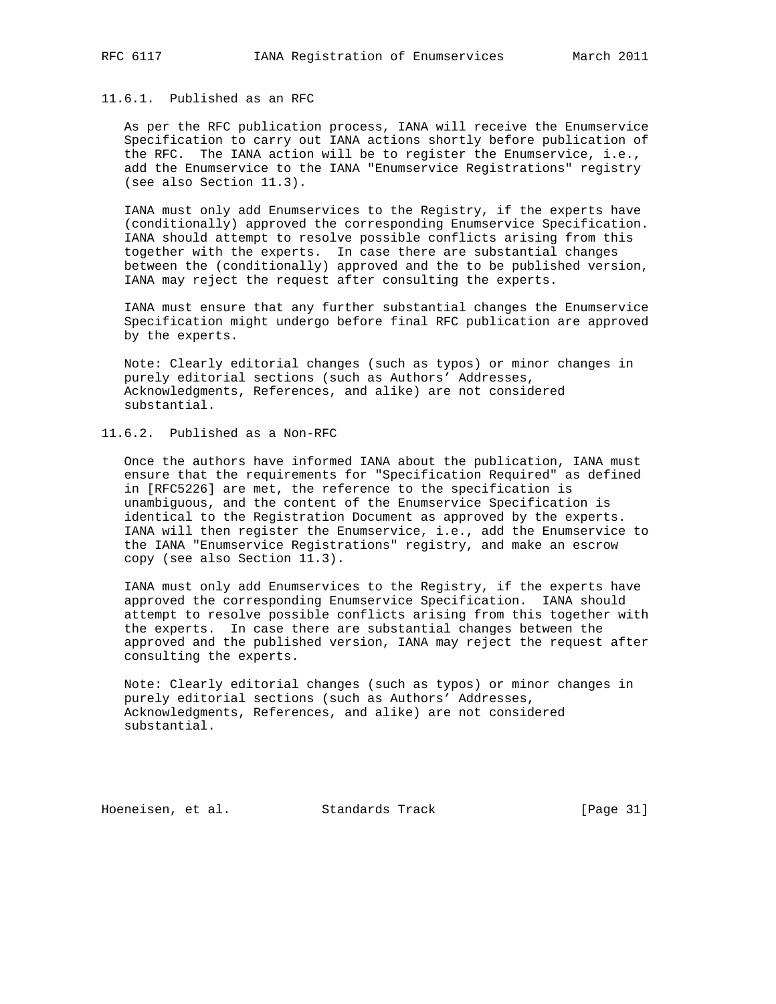## 11.6.1. Published as an RFC

 As per the RFC publication process, IANA will receive the Enumservice Specification to carry out IANA actions shortly before publication of the RFC. The IANA action will be to register the Enumservice, i.e., add the Enumservice to the IANA "Enumservice Registrations" registry (see also Section 11.3).

 IANA must only add Enumservices to the Registry, if the experts have (conditionally) approved the corresponding Enumservice Specification. IANA should attempt to resolve possible conflicts arising from this together with the experts. In case there are substantial changes between the (conditionally) approved and the to be published version, IANA may reject the request after consulting the experts.

 IANA must ensure that any further substantial changes the Enumservice Specification might undergo before final RFC publication are approved by the experts.

 Note: Clearly editorial changes (such as typos) or minor changes in purely editorial sections (such as Authors' Addresses, Acknowledgments, References, and alike) are not considered substantial.

## 11.6.2. Published as a Non-RFC

 Once the authors have informed IANA about the publication, IANA must ensure that the requirements for "Specification Required" as defined in [RFC5226] are met, the reference to the specification is unambiguous, and the content of the Enumservice Specification is identical to the Registration Document as approved by the experts. IANA will then register the Enumservice, i.e., add the Enumservice to the IANA "Enumservice Registrations" registry, and make an escrow copy (see also Section 11.3).

 IANA must only add Enumservices to the Registry, if the experts have approved the corresponding Enumservice Specification. IANA should attempt to resolve possible conflicts arising from this together with the experts. In case there are substantial changes between the approved and the published version, IANA may reject the request after consulting the experts.

 Note: Clearly editorial changes (such as typos) or minor changes in purely editorial sections (such as Authors' Addresses, Acknowledgments, References, and alike) are not considered substantial.

Hoeneisen, et al. Standards Track [Page 31]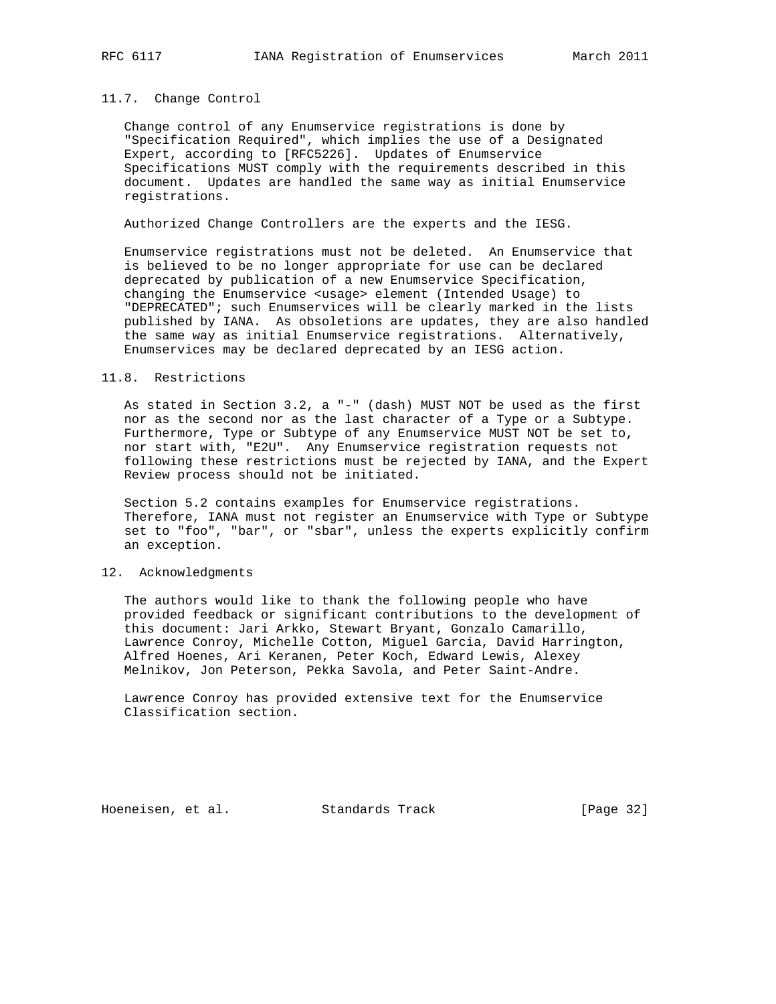#### 11.7. Change Control

 Change control of any Enumservice registrations is done by "Specification Required", which implies the use of a Designated Expert, according to [RFC5226]. Updates of Enumservice Specifications MUST comply with the requirements described in this document. Updates are handled the same way as initial Enumservice registrations.

Authorized Change Controllers are the experts and the IESG.

 Enumservice registrations must not be deleted. An Enumservice that is believed to be no longer appropriate for use can be declared deprecated by publication of a new Enumservice Specification, changing the Enumservice <usage> element (Intended Usage) to "DEPRECATED"; such Enumservices will be clearly marked in the lists published by IANA. As obsoletions are updates, they are also handled the same way as initial Enumservice registrations. Alternatively, Enumservices may be declared deprecated by an IESG action.

## 11.8. Restrictions

 As stated in Section 3.2, a "-" (dash) MUST NOT be used as the first nor as the second nor as the last character of a Type or a Subtype. Furthermore, Type or Subtype of any Enumservice MUST NOT be set to, nor start with, "E2U". Any Enumservice registration requests not following these restrictions must be rejected by IANA, and the Expert Review process should not be initiated.

 Section 5.2 contains examples for Enumservice registrations. Therefore, IANA must not register an Enumservice with Type or Subtype set to "foo", "bar", or "sbar", unless the experts explicitly confirm an exception.

#### 12. Acknowledgments

 The authors would like to thank the following people who have provided feedback or significant contributions to the development of this document: Jari Arkko, Stewart Bryant, Gonzalo Camarillo, Lawrence Conroy, Michelle Cotton, Miguel Garcia, David Harrington, Alfred Hoenes, Ari Keranen, Peter Koch, Edward Lewis, Alexey Melnikov, Jon Peterson, Pekka Savola, and Peter Saint-Andre.

 Lawrence Conroy has provided extensive text for the Enumservice Classification section.

Hoeneisen, et al. Standards Track [Page 32]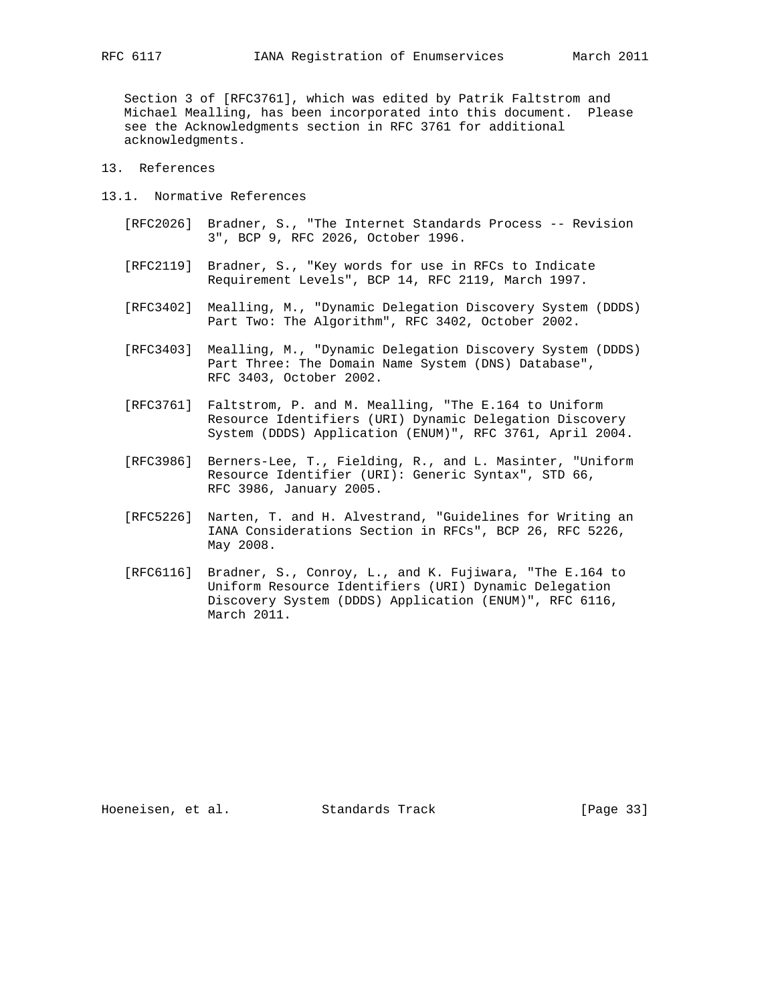Section 3 of [RFC3761], which was edited by Patrik Faltstrom and Michael Mealling, has been incorporated into this document. Please see the Acknowledgments section in RFC 3761 for additional acknowledgments.

- 13. References
- 13.1. Normative References
	- [RFC2026] Bradner, S., "The Internet Standards Process -- Revision 3", BCP 9, RFC 2026, October 1996.
	- [RFC2119] Bradner, S., "Key words for use in RFCs to Indicate Requirement Levels", BCP 14, RFC 2119, March 1997.
	- [RFC3402] Mealling, M., "Dynamic Delegation Discovery System (DDDS) Part Two: The Algorithm", RFC 3402, October 2002.
	- [RFC3403] Mealling, M., "Dynamic Delegation Discovery System (DDDS) Part Three: The Domain Name System (DNS) Database", RFC 3403, October 2002.
	- [RFC3761] Faltstrom, P. and M. Mealling, "The E.164 to Uniform Resource Identifiers (URI) Dynamic Delegation Discovery System (DDDS) Application (ENUM)", RFC 3761, April 2004.
	- [RFC3986] Berners-Lee, T., Fielding, R., and L. Masinter, "Uniform Resource Identifier (URI): Generic Syntax", STD 66, RFC 3986, January 2005.
	- [RFC5226] Narten, T. and H. Alvestrand, "Guidelines for Writing an IANA Considerations Section in RFCs", BCP 26, RFC 5226, May 2008.
	- [RFC6116] Bradner, S., Conroy, L., and K. Fujiwara, "The E.164 to Uniform Resource Identifiers (URI) Dynamic Delegation Discovery System (DDDS) Application (ENUM)", RFC 6116, March 2011.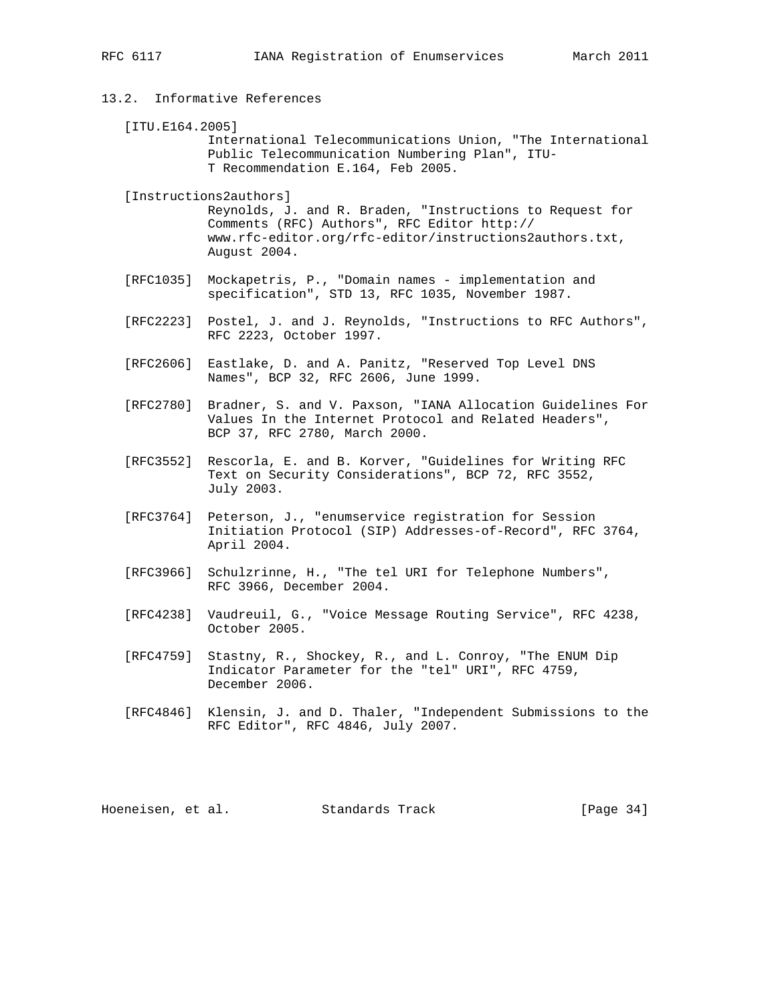- 13.2. Informative References
	- [ITU.E164.2005] International Telecommunications Union, "The International Public Telecommunication Numbering Plan", ITU- T Recommendation E.164, Feb 2005.

 [Instructions2authors] Reynolds, J. and R. Braden, "Instructions to Request for Comments (RFC) Authors", RFC Editor http:// www.rfc-editor.org/rfc-editor/instructions2authors.txt, August 2004.

- [RFC1035] Mockapetris, P., "Domain names implementation and specification", STD 13, RFC 1035, November 1987.
- [RFC2223] Postel, J. and J. Reynolds, "Instructions to RFC Authors", RFC 2223, October 1997.
- [RFC2606] Eastlake, D. and A. Panitz, "Reserved Top Level DNS Names", BCP 32, RFC 2606, June 1999.
- [RFC2780] Bradner, S. and V. Paxson, "IANA Allocation Guidelines For Values In the Internet Protocol and Related Headers", BCP 37, RFC 2780, March 2000.
- [RFC3552] Rescorla, E. and B. Korver, "Guidelines for Writing RFC Text on Security Considerations", BCP 72, RFC 3552, July 2003.
- [RFC3764] Peterson, J., "enumservice registration for Session Initiation Protocol (SIP) Addresses-of-Record", RFC 3764, April 2004.
- [RFC3966] Schulzrinne, H., "The tel URI for Telephone Numbers", RFC 3966, December 2004.
- [RFC4238] Vaudreuil, G., "Voice Message Routing Service", RFC 4238, October 2005.
- [RFC4759] Stastny, R., Shockey, R., and L. Conroy, "The ENUM Dip Indicator Parameter for the "tel" URI", RFC 4759, December 2006.
- [RFC4846] Klensin, J. and D. Thaler, "Independent Submissions to the RFC Editor", RFC 4846, July 2007.

Hoeneisen, et al. Standards Track [Page 34]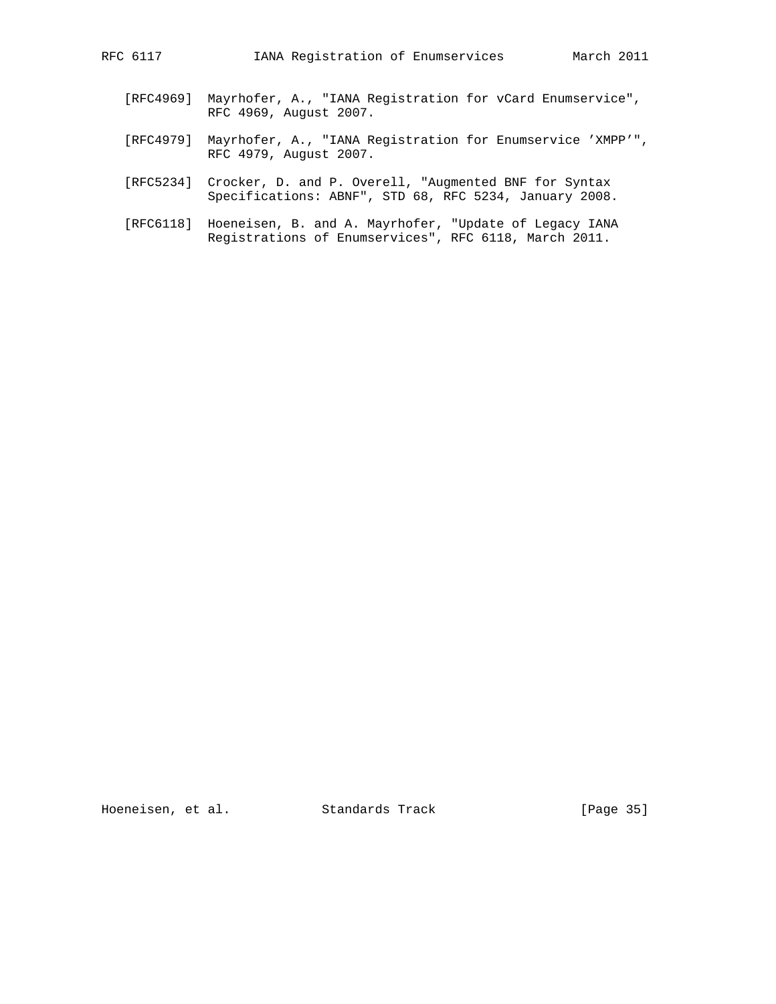- [RFC4969] Mayrhofer, A., "IANA Registration for vCard Enumservice", RFC 4969, August 2007.
- [RFC4979] Mayrhofer, A., "IANA Registration for Enumservice 'XMPP'", RFC 4979, August 2007.
- [RFC5234] Crocker, D. and P. Overell, "Augmented BNF for Syntax Specifications: ABNF", STD 68, RFC 5234, January 2008.
- [RFC6118] Hoeneisen, B. and A. Mayrhofer, "Update of Legacy IANA Registrations of Enumservices", RFC 6118, March 2011.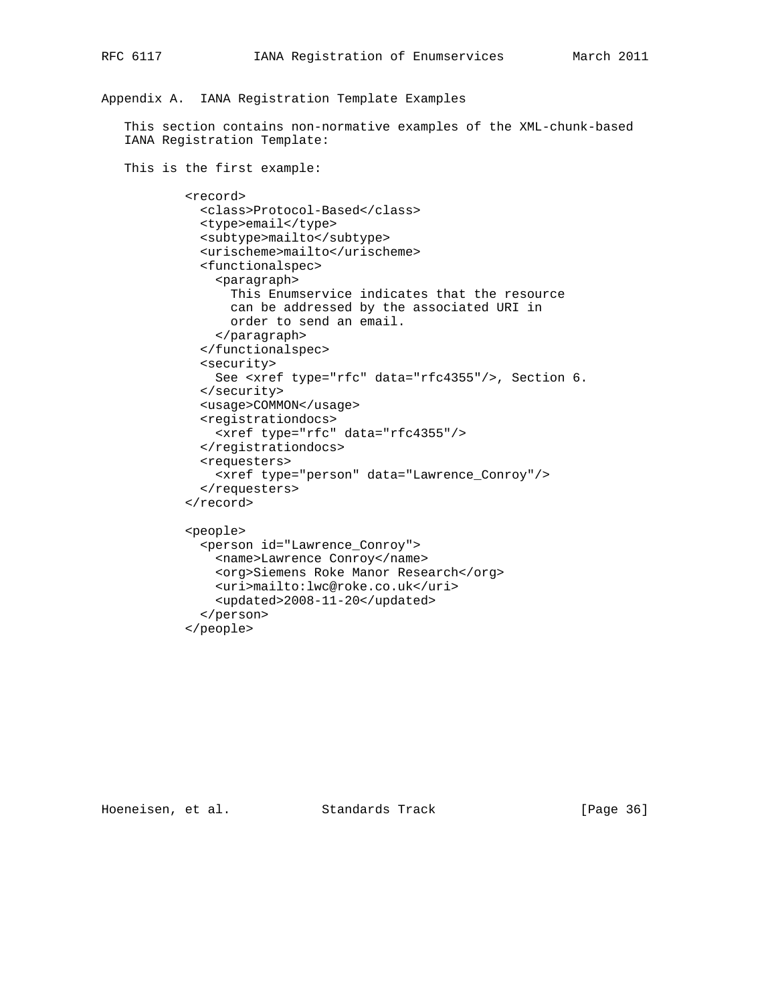# Appendix A. IANA Registration Template Examples

 This section contains non-normative examples of the XML-chunk-based IANA Registration Template:

 This is the first example: <record> <class>Protocol-Based</class> <type>email</type> <subtype>mailto</subtype> <urischeme>mailto</urischeme> <functionalspec> <paragraph> This Enumservice indicates that the resource can be addressed by the associated URI in order to send an email. </paragraph> </functionalspec> <security> See <xref type="rfc" data="rfc4355"/>, Section 6. </security> <usage>COMMON</usage> <registrationdocs> <xref type="rfc" data="rfc4355"/> </registrationdocs> <requesters> <xref type="person" data="Lawrence\_Conroy"/> </requesters> </record> <people> <person id="Lawrence\_Conroy"> <name>Lawrence Conroy</name> <org>Siemens Roke Manor Research</org> <uri>mailto:lwc@roke.co.uk</uri> <updated>2008-11-20</updated> </person> </people>

Hoeneisen, et al. Standards Track [Page 36]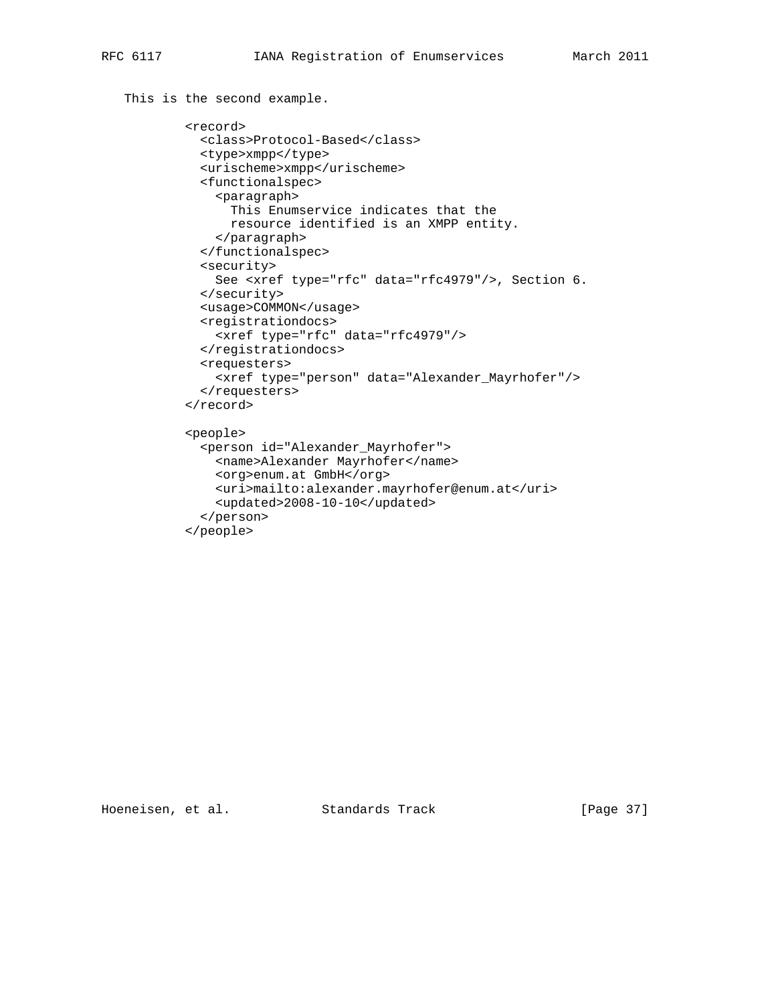```
 This is the second example.
```

```
 <record>
  <class>Protocol-Based</class>
  <type>xmpp</type>
  <urischeme>xmpp</urischeme>
  <functionalspec>
     <paragraph>
       This Enumservice indicates that the
      resource identified is an XMPP entity.
     </paragraph>
  </functionalspec>
  <security>
    See <xref type="rfc" data="rfc4979"/>, Section 6.
  </security>
  <usage>COMMON</usage>
  <registrationdocs>
    <xref type="rfc" data="rfc4979"/>
  </registrationdocs>
  <requesters>
    <xref type="person" data="Alexander_Mayrhofer"/>
   </requesters>
 </record>
 <people>
   <person id="Alexander_Mayrhofer">
    <name>Alexander Mayrhofer</name>
    <org>enum.at GmbH</org>
    <uri>mailto:alexander.mayrhofer@enum.at</uri>
     <updated>2008-10-10</updated>
   </person>
```
</people>

Hoeneisen, et al. Standards Track [Page 37]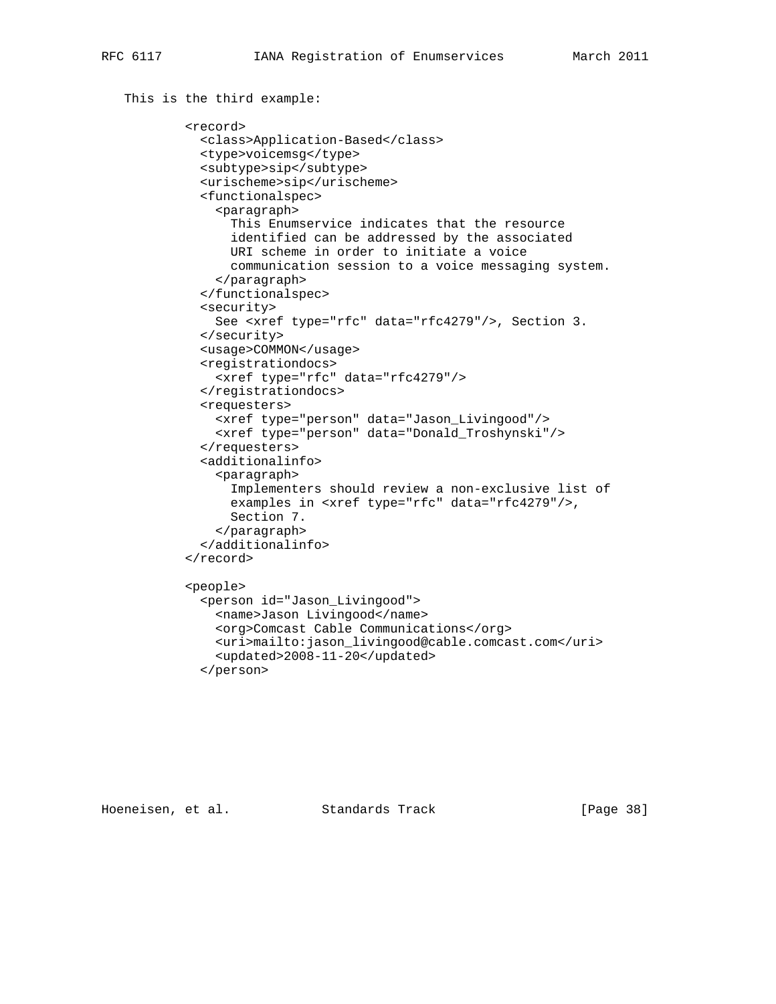```
 This is the third example:
         <record>
           <class>Application-Based</class>
           <type>voicemsg</type>
           <subtype>sip</subtype>
           <urischeme>sip</urischeme>
           <functionalspec>
             <paragraph>
               This Enumservice indicates that the resource
               identified can be addressed by the associated
               URI scheme in order to initiate a voice
               communication session to a voice messaging system.
             </paragraph>
           </functionalspec>
           <security>
             See <xref type="rfc" data="rfc4279"/>, Section 3.
           </security>
           <usage>COMMON</usage>
           <registrationdocs>
             <xref type="rfc" data="rfc4279"/>
           </registrationdocs>
           <requesters>
             <xref type="person" data="Jason_Livingood"/>
             <xref type="person" data="Donald_Troshynski"/>
           </requesters>
           <additionalinfo>
             <paragraph>
               Implementers should review a non-exclusive list of
               examples in <xref type="rfc" data="rfc4279"/>,
               Section 7.
             </paragraph>
           </additionalinfo>
         </record>
         <people>
           <person id="Jason_Livingood">
             <name>Jason Livingood</name>
             <org>Comcast Cable Communications</org>
             <uri>mailto:jason_livingood@cable.comcast.com</uri>
             <updated>2008-11-20</updated>
           </person>
```
Hoeneisen, et al. Standards Track [Page 38]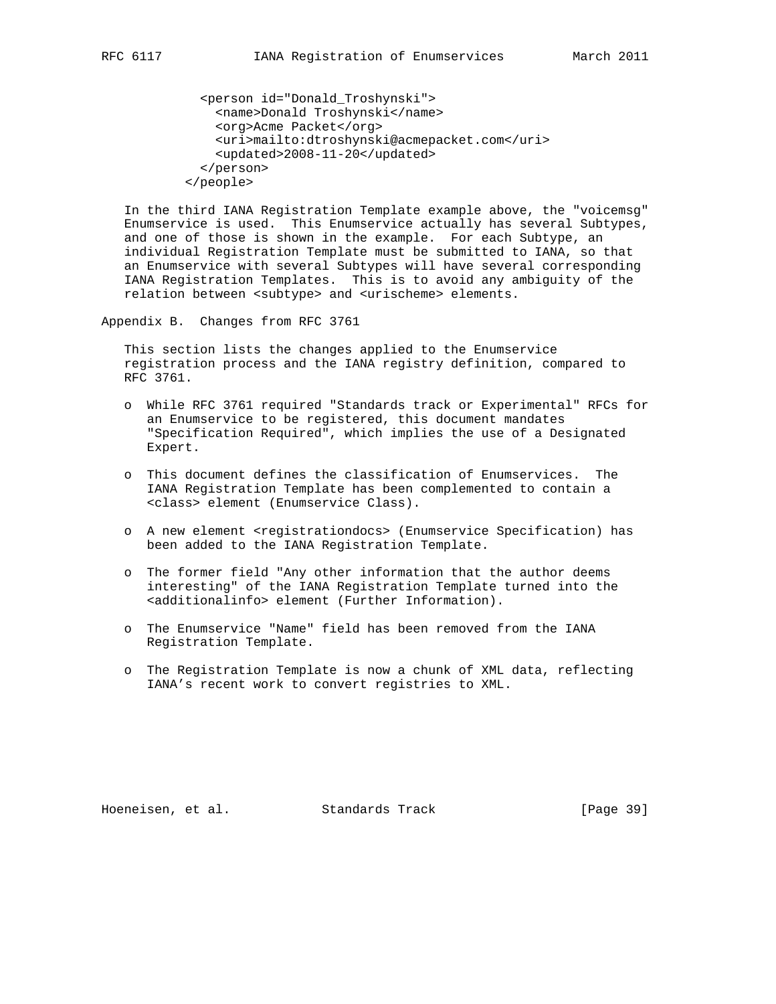```
 <person id="Donald_Troshynski">
     <name>Donald Troshynski</name>
     <org>Acme Packet</org>
     <uri>mailto:dtroshynski@acmepacket.com</uri>
     <updated>2008-11-20</updated>
   </person>
 </people>
```
 In the third IANA Registration Template example above, the "voicemsg" Enumservice is used. This Enumservice actually has several Subtypes, and one of those is shown in the example. For each Subtype, an individual Registration Template must be submitted to IANA, so that an Enumservice with several Subtypes will have several corresponding IANA Registration Templates. This is to avoid any ambiguity of the relation between <subtype> and <urischeme> elements.

Appendix B. Changes from RFC 3761

 This section lists the changes applied to the Enumservice registration process and the IANA registry definition, compared to RFC 3761.

- o While RFC 3761 required "Standards track or Experimental" RFCs for an Enumservice to be registered, this document mandates "Specification Required", which implies the use of a Designated Expert.
- o This document defines the classification of Enumservices. The IANA Registration Template has been complemented to contain a <class> element (Enumservice Class).
- o A new element <registrationdocs> (Enumservice Specification) has been added to the IANA Registration Template.
- o The former field "Any other information that the author deems interesting" of the IANA Registration Template turned into the <additionalinfo> element (Further Information).
- o The Enumservice "Name" field has been removed from the IANA Registration Template.
- o The Registration Template is now a chunk of XML data, reflecting IANA's recent work to convert registries to XML.

Hoeneisen, et al. Standards Track [Page 39]